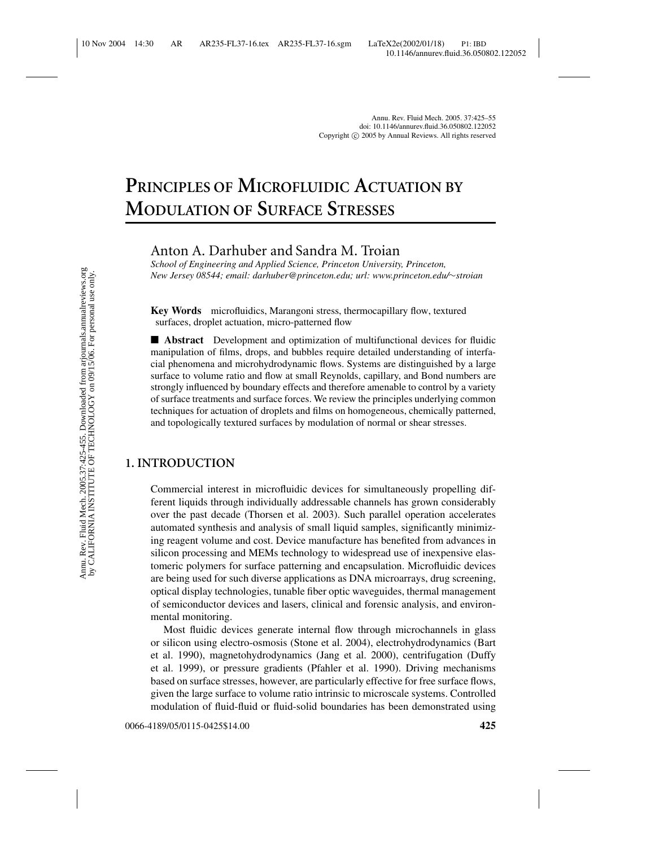# **PRINCIPLES OF MICROFLUIDIC ACTUATION BY MODULATION OF SURFACE STRESSES**

Anton A. Darhuber and Sandra M. Troian

*School of Engineering and Applied Science, Princeton University, Princeton, New Jersey 08544; email: darhuber@princeton.edu; url: www.princeton.edu/*∼*stroian*

**Key Words** microfluidics, Marangoni stress, thermocapillary flow, textured surfaces, droplet actuation, micro-patterned flow

■ **Abstract** Development and optimization of multifunctional devices for fluidic manipulation of films, drops, and bubbles require detailed understanding of interfacial phenomena and microhydrodynamic flows. Systems are distinguished by a large surface to volume ratio and flow at small Reynolds, capillary, and Bond numbers are strongly influenced by boundary effects and therefore amenable to control by a variety of surface treatments and surface forces. We review the principles underlying common techniques for actuation of droplets and films on homogeneous, chemically patterned, and topologically textured surfaces by modulation of normal or shear stresses.

# **1. INTRODUCTION**

Commercial interest in microfluidic devices for simultaneously propelling different liquids through individually addressable channels has grown considerably over the past decade (Thorsen et al. 2003). Such parallel operation accelerates automated synthesis and analysis of small liquid samples, significantly minimizing reagent volume and cost. Device manufacture has benefited from advances in silicon processing and MEMs technology to widespread use of inexpensive elastomeric polymers for surface patterning and encapsulation. Microfluidic devices are being used for such diverse applications as DNA microarrays, drug screening, optical display technologies, tunable fiber optic waveguides, thermal management of semiconductor devices and lasers, clinical and forensic analysis, and environmental monitoring.

Most fluidic devices generate internal flow through microchannels in glass or silicon using electro-osmosis (Stone et al. 2004), electrohydrodynamics (Bart et al. 1990), magnetohydrodynamics (Jang et al. 2000), centrifugation (Duffy et al. 1999), or pressure gradients (Pfahler et al. 1990). Driving mechanisms based on surface stresses, however, are particularly effective for free surface flows, given the large surface to volume ratio intrinsic to microscale systems. Controlled modulation of fluid-fluid or fluid-solid boundaries has been demonstrated using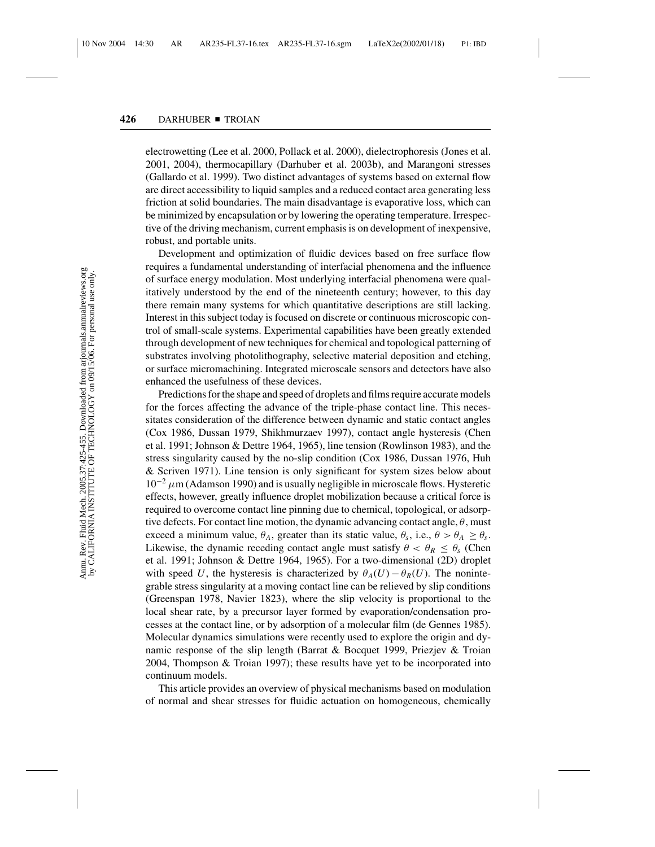electrowetting (Lee et al. 2000, Pollack et al. 2000), dielectrophoresis (Jones et al. 2001, 2004), thermocapillary (Darhuber et al. 2003b), and Marangoni stresses (Gallardo et al. 1999). Two distinct advantages of systems based on external flow are direct accessibility to liquid samples and a reduced contact area generating less friction at solid boundaries. The main disadvantage is evaporative loss, which can be minimized by encapsulation or by lowering the operating temperature. Irrespective of the driving mechanism, current emphasis is on development of inexpensive, robust, and portable units.

Development and optimization of fluidic devices based on free surface flow requires a fundamental understanding of interfacial phenomena and the influence of surface energy modulation. Most underlying interfacial phenomena were qualitatively understood by the end of the nineteenth century; however, to this day there remain many systems for which quantitative descriptions are still lacking. Interest in this subject today is focused on discrete or continuous microscopic control of small-scale systems. Experimental capabilities have been greatly extended through development of new techniques for chemical and topological patterning of substrates involving photolithography, selective material deposition and etching, or surface micromachining. Integrated microscale sensors and detectors have also enhanced the usefulness of these devices.

Predictions for the shape and speed of droplets and films require accurate models for the forces affecting the advance of the triple-phase contact line. This necessitates consideration of the difference between dynamic and static contact angles (Cox 1986, Dussan 1979, Shikhmurzaev 1997), contact angle hysteresis (Chen et al. 1991; Johnson & Dettre 1964, 1965), line tension (Rowlinson 1983), and the stress singularity caused by the no-slip condition (Cox 1986, Dussan 1976, Huh & Scriven 1971). Line tension is only significant for system sizes below about  $10^{-2} \mu$ m (Adamson 1990) and is usually negligible in microscale flows. Hysteretic effects, however, greatly influence droplet mobilization because a critical force is required to overcome contact line pinning due to chemical, topological, or adsorptive defects. For contact line motion, the dynamic advancing contact angle,  $\theta$ , must exceed a minimum value,  $\theta_A$ , greater than its static value,  $\theta_s$ , i.e.,  $\theta > \theta_A \ge \theta_s$ . Likewise, the dynamic receding contact angle must satisfy  $\theta < \theta_R \leq \theta_s$  (Chen et al. 1991; Johnson & Dettre 1964, 1965). For a two-dimensional (2D) droplet with speed *U*, the hysteresis is characterized by  $\theta_A(U) - \theta_R(U)$ . The nonintegrable stress singularity at a moving contact line can be relieved by slip conditions (Greenspan 1978, Navier 1823), where the slip velocity is proportional to the local shear rate, by a precursor layer formed by evaporation/condensation processes at the contact line, or by adsorption of a molecular film (de Gennes 1985). Molecular dynamics simulations were recently used to explore the origin and dynamic response of the slip length (Barrat & Bocquet 1999, Priezjev & Troian 2004, Thompson & Troian 1997); these results have yet to be incorporated into continuum models.

This article provides an overview of physical mechanisms based on modulation of normal and shear stresses for fluidic actuation on homogeneous, chemically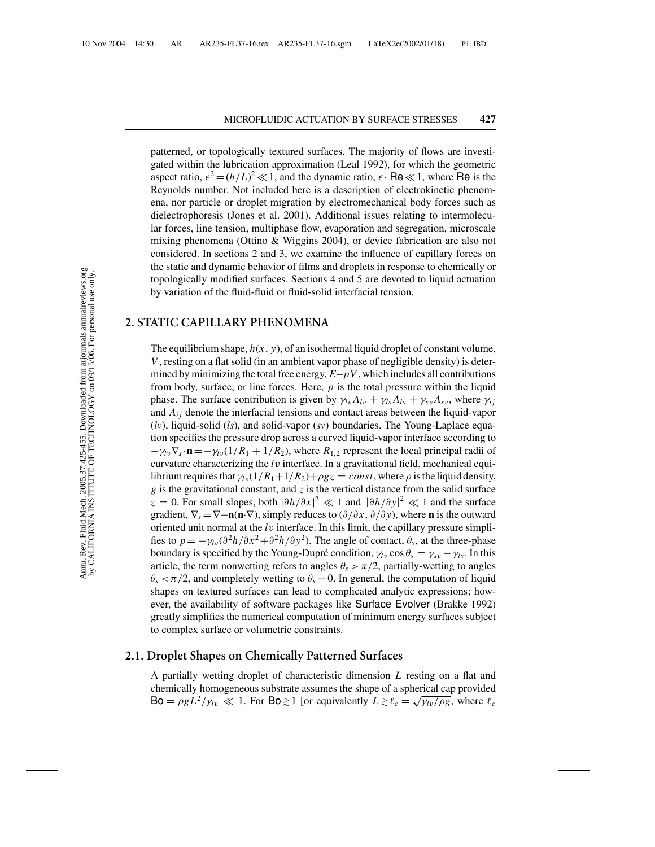patterned, or topologically textured surfaces. The majority of flows are investigated within the lubrication approximation (Leal 1992), for which the geometric aspect ratio,  $\epsilon^2 = (h/L)^2 \ll 1$ , and the dynamic ratio,  $\epsilon \cdot \text{Re} \ll 1$ , where Re is the Reynolds number. Not included here is a description of electrokinetic phenomena, nor particle or droplet migration by electromechanical body forces such as dielectrophoresis (Jones et al. 2001). Additional issues relating to intermolecular forces, line tension, multiphase flow, evaporation and segregation, microscale mixing phenomena (Ottino & Wiggins 2004), or device fabrication are also not considered. In sections 2 and 3, we examine the influence of capillary forces on the static and dynamic behavior of films and droplets in response to chemically or topologically modified surfaces. Sections 4 and 5 are devoted to liquid actuation by variation of the fluid-fluid or fluid-solid interfacial tension.

## **2. STATIC CAPILLARY PHENOMENA**

The equilibrium shape,  $h(x, y)$ , of an isothermal liquid droplet of constant volume, *V*, resting on a flat solid (in an ambient vapor phase of negligible density) is determined by minimizing the total free energy, *E*−*pV*, which includes all contributions from body, surface, or line forces. Here, *p* is the total pressure within the liquid phase. The surface contribution is given by  $\gamma_l v A_{l} + \gamma_s A_{ls} + \gamma_s v A_{sv}$ , where  $\gamma_{ij}$ and  $A_{ij}$  denote the interfacial tensions and contact areas between the liquid-vapor (*lv*), liquid-solid (*ls*), and solid-vapor (*sv*) boundaries. The Young-Laplace equation specifies the pressure drop across a curved liquid-vapor interface according to  $-\gamma_l \nabla_s \cdot \mathbf{n} = -\gamma_l \nabla_l (1/R_1 + 1/R_2)$ , where  $R_{1,2}$  represent the local principal radii of curvature characterizing the *l*v interface. In a gravitational field, mechanical equilibrium requires that  $\gamma_{\nu}(1/R_1+1/R_2)+\rho gz = const$ , where  $\rho$  is the liquid density, *g* is the gravitational constant, and *z* is the vertical distance from the solid surface  $z = 0$ . For small slopes, both  $|\partial h/\partial x|^2 \ll 1$  and  $|\partial h/\partial y|^2 \ll 1$  and the surface gradient,  $\nabla_s = \nabla - \mathbf{n}(\mathbf{n} \cdot \nabla)$ , simply reduces to  $(\partial/\partial x, \partial/\partial y)$ , where **n** is the outward oriented unit normal at the *l*v interface. In this limit, the capillary pressure simplifies to  $p = -\gamma_{\text{av}}(\partial^2 h/\partial x^2 + \partial^2 h/\partial y^2)$ . The angle of contact,  $\theta_s$ , at the three-phase boundary is specified by the Young-Dupré condition,  $\gamma_l$  cos  $\theta_s = \gamma_{sv} - \gamma_l$ . In this article, the term nonwetting refers to angles  $\theta_s > \pi/2$ , partially-wetting to angles  $\theta_s < \pi/2$ , and completely wetting to  $\theta_s = 0$ . In general, the computation of liquid shapes on textured surfaces can lead to complicated analytic expressions; however, the availability of software packages like Surface Evolver (Brakke 1992) greatly simplifies the numerical computation of minimum energy surfaces subject to complex surface or volumetric constraints.

# **2.1. Droplet Shapes on Chemically Patterned Surfaces**

A partially wetting droplet of characteristic dimension *L* resting on a flat and chemically homogeneous substrate assumes the shape of a spherical cap provided  $Bo = \rho g L^2 / \gamma_l$   $\ll 1$ . For  $Bo \gtrsim 1$  [or equivalently  $L \gtrsim \ell_c = \sqrt{\gamma_l v / \rho g}$ , where  $\ell_c$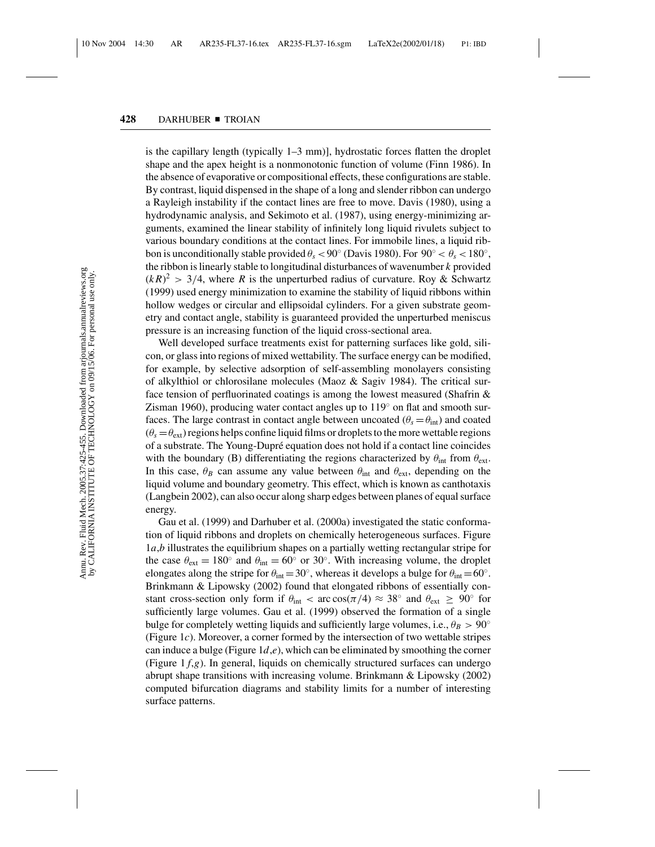is the capillary length (typically 1–3 mm)], hydrostatic forces flatten the droplet shape and the apex height is a nonmonotonic function of volume (Finn 1986). In the absence of evaporative or compositional effects, these configurations are stable. By contrast, liquid dispensed in the shape of a long and slender ribbon can undergo a Rayleigh instability if the contact lines are free to move. Davis (1980), using a hydrodynamic analysis, and Sekimoto et al. (1987), using energy-minimizing arguments, examined the linear stability of infinitely long liquid rivulets subject to various boundary conditions at the contact lines. For immobile lines, a liquid ribbon is unconditionally stable provided  $\theta_s < 90^\circ$  (Davis 1980). For  $90^\circ < \theta_s < 180^\circ$ , the ribbon is linearly stable to longitudinal disturbances of wavenumber *k* provided  $(kR)^2 > 3/4$ , where R is the unperturbed radius of curvature. Roy & Schwartz (1999) used energy minimization to examine the stability of liquid ribbons within hollow wedges or circular and ellipsoidal cylinders. For a given substrate geometry and contact angle, stability is guaranteed provided the unperturbed meniscus pressure is an increasing function of the liquid cross-sectional area.

Well developed surface treatments exist for patterning surfaces like gold, silicon, or glass into regions of mixed wettability. The surface energy can be modified, for example, by selective adsorption of self-assembling monolayers consisting of alkylthiol or chlorosilane molecules (Maoz & Sagiv 1984). The critical surface tension of perfluorinated coatings is among the lowest measured (Shafrin & Zisman 1960), producing water contact angles up to  $119°$  on flat and smooth surfaces. The large contrast in contact angle between uncoated ( $\theta_s = \theta_{\text{int}}$ ) and coated  $(\theta_s = \theta_{ext})$  regions helps confine liquid films or droplets to the more wettable regions of a substrate. The Young-Dupr´e equation does not hold if a contact line coincides with the boundary (B) differentiating the regions characterized by  $\theta_{int}$  from  $\theta_{ext}$ . In this case,  $\theta_B$  can assume any value between  $\theta_{int}$  and  $\theta_{ext}$ , depending on the liquid volume and boundary geometry. This effect, which is known as canthotaxis (Langbein 2002), can also occur along sharp edges between planes of equal surface energy.

Gau et al. (1999) and Darhuber et al. (2000a) investigated the static conformation of liquid ribbons and droplets on chemically heterogeneous surfaces. Figure 1*a*,*b* illustrates the equilibrium shapes on a partially wetting rectangular stripe for the case  $\theta_{ext} = 180^\circ$  and  $\theta_{int} = 60^\circ$  or 30°. With increasing volume, the droplet elongates along the stripe for  $\theta_{\text{int}} = 30^\circ$ , whereas it develops a bulge for  $\theta_{\text{int}} = 60^\circ$ . Brinkmann & Lipowsky (2002) found that elongated ribbons of essentially constant cross-section only form if  $\theta_{int} < \arccos(\pi/4) \approx 38^\circ$  and  $\theta_{ext} \geq 90^\circ$  for sufficiently large volumes. Gau et al. (1999) observed the formation of a single bulge for completely wetting liquids and sufficiently large volumes, i.e.,  $\theta_B > 90^\circ$ (Figure 1*c*). Moreover, a corner formed by the intersection of two wettable stripes can induce a bulge (Figure 1*d*,*e*), which can be eliminated by smoothing the corner (Figure 1 *f*,*g*). In general, liquids on chemically structured surfaces can undergo abrupt shape transitions with increasing volume. Brinkmann & Lipowsky (2002) computed bifurcation diagrams and stability limits for a number of interesting surface patterns.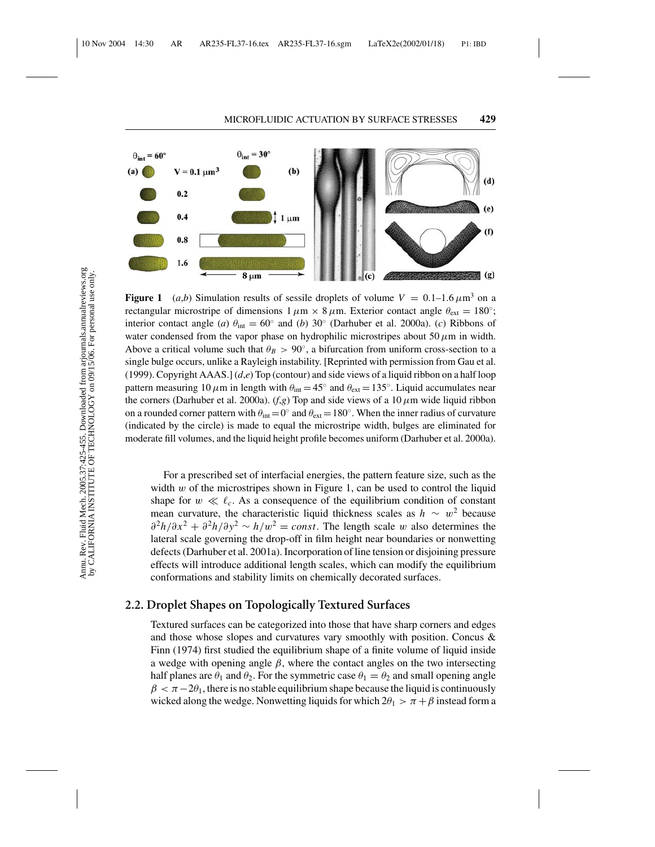

**Figure 1** (*a,b*) Simulation results of sessile droplets of volume  $V = 0.1{\text{-}}1.6 \,\mu\text{m}^3$  on a rectangular microstripe of dimensions  $1 \mu m \times 8 \mu m$ . Exterior contact angle  $\theta_{ext} = 180^\circ$ ; interior contact angle (*a*)  $\theta_{\text{int}} = 60°$  and (*b*) 30° (Darhuber et al. 2000a). (*c*) Ribbons of water condensed from the vapor phase on hydrophilic microstripes about 50  $\mu$ m in width. Above a critical volume such that  $\theta_B > 90^\circ$ , a bifurcation from uniform cross-section to a single bulge occurs, unlike a Rayleigh instability. [Reprinted with permission from Gau et al. (1999). Copyright AAAS.] (*d*,*e*) Top (contour) and side views of a liquid ribbon on a half loop pattern measuring 10  $\mu$ m in length with  $\theta_{int} = 45^\circ$  and  $\theta_{ext} = 135^\circ$ . Liquid accumulates near the corners (Darhuber et al. 2000a). ( $f,g$ ) Top and side views of a 10  $\mu$ m wide liquid ribbon on a rounded corner pattern with  $\theta_{int} = 0°$  and  $\theta_{ext} = 180°$ . When the inner radius of curvature (indicated by the circle) is made to equal the microstripe width, bulges are eliminated for moderate fill volumes, and the liquid height profile becomes uniform (Darhuber et al. 2000a).

For a prescribed set of interfacial energies, the pattern feature size, such as the width  $w$  of the microstripes shown in Figure 1, can be used to control the liquid shape for  $w \ll \ell_c$ . As a consequence of the equilibrium condition of constant mean curvature, the characteristic liquid thickness scales as  $h \sim w^2$  because  $\frac{\partial^2 h}{\partial x^2} + \frac{\partial^2 h}{\partial y^2} \sim h/w^2 = const.$  The length scale w also determines the lateral scale governing the drop-off in film height near boundaries or nonwetting defects (Darhuber et al. 2001a). Incorporation of line tension or disjoining pressure effects will introduce additional length scales, which can modify the equilibrium conformations and stability limits on chemically decorated surfaces.

#### **2.2. Droplet Shapes on Topologically Textured Surfaces**

Textured surfaces can be categorized into those that have sharp corners and edges and those whose slopes and curvatures vary smoothly with position. Concus & Finn (1974) first studied the equilibrium shape of a finite volume of liquid inside a wedge with opening angle  $\beta$ , where the contact angles on the two intersecting half planes are  $\theta_1$  and  $\theta_2$ . For the symmetric case  $\theta_1 = \theta_2$  and small opening angle  $\beta < \pi-2\theta_1$ , there is no stable equilibrium shape because the liquid is continuously wicked along the wedge. Nonwetting liquids for which  $2\theta_1 > \pi + \beta$  instead form a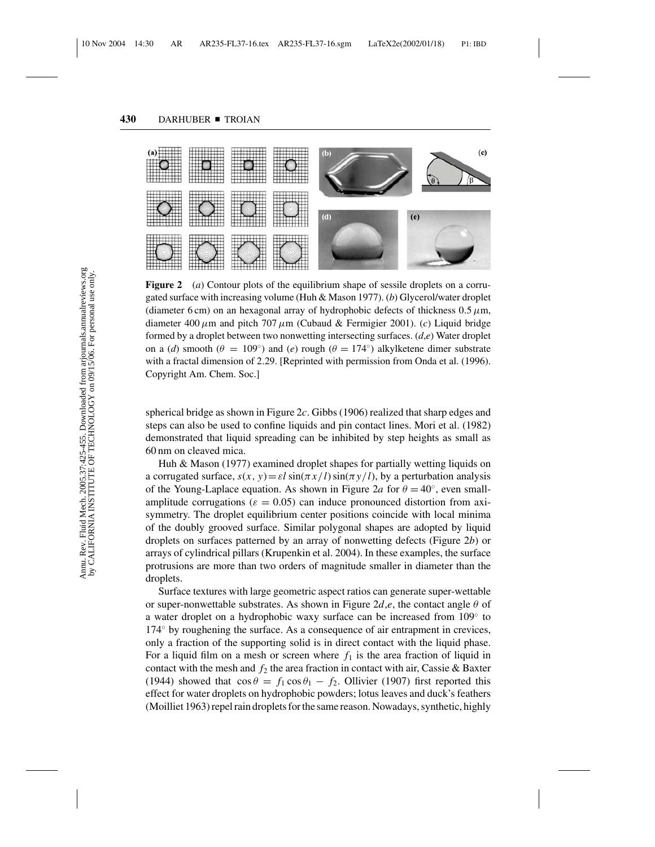

**Figure 2** (*a*) Contour plots of the equilibrium shape of sessile droplets on a corrugated surface with increasing volume (Huh & Mason 1977). (*b*) Glycerol/water droplet (diameter 6 cm) on an hexagonal array of hydrophobic defects of thickness  $0.5 \mu m$ , diameter 400  $\mu$ m and pitch 707  $\mu$ m (Cubaud & Fermigier 2001). (*c*) Liquid bridge formed by a droplet between two nonwetting intersecting surfaces. (*d*,*e*) Water droplet on a (*d*) smooth ( $\theta = 109°$ ) and (*e*) rough ( $\theta = 174°$ ) alkylketene dimer substrate with a fractal dimension of 2.29. [Reprinted with permission from Onda et al. (1996). Copyright Am. Chem. Soc.]

spherical bridge as shown in Figure 2*c*. Gibbs (1906) realized that sharp edges and steps can also be used to confine liquids and pin contact lines. Mori et al. (1982) demonstrated that liquid spreading can be inhibited by step heights as small as 60 nm on cleaved mica.

Huh & Mason (1977) examined droplet shapes for partially wetting liquids on a corrugated surface,  $s(x, y) = \varepsilon \sin(\pi x / l) \sin(\pi y / l)$ , by a perturbation analysis of the Young-Laplace equation. As shown in Figure 2*a* for  $\theta = 40^\circ$ , even smallamplitude corrugations ( $\varepsilon = 0.05$ ) can induce pronounced distortion from axisymmetry. The droplet equilibrium center positions coincide with local minima of the doubly grooved surface. Similar polygonal shapes are adopted by liquid droplets on surfaces patterned by an array of nonwetting defects (Figure 2*b*) or arrays of cylindrical pillars (Krupenkin et al. 2004). In these examples, the surface protrusions are more than two orders of magnitude smaller in diameter than the droplets.

Surface textures with large geometric aspect ratios can generate super-wettable or super-nonwettable substrates. As shown in Figure  $2d,e$ , the contact angle  $\theta$  of a water droplet on a hydrophobic waxy surface can be increased from 109◦ to 174◦ by roughening the surface. As a consequence of air entrapment in crevices, only a fraction of the supporting solid is in direct contact with the liquid phase. For a liquid film on a mesh or screen where  $f_1$  is the area fraction of liquid in contact with the mesh and  $f_2$  the area fraction in contact with air, Cassie & Baxter (1944) showed that  $\cos \theta = f_1 \cos \theta_1 - f_2$ . Ollivier (1907) first reported this effect for water droplets on hydrophobic powders; lotus leaves and duck's feathers (Moilliet 1963) repel rain droplets for the same reason. Nowadays, synthetic, highly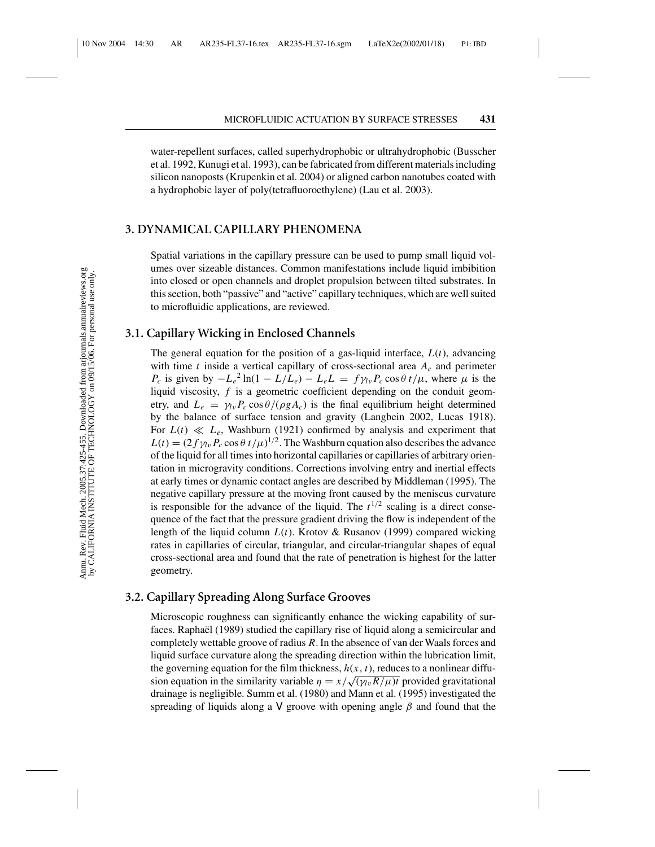water-repellent surfaces, called superhydrophobic or ultrahydrophobic (Busscher et al. 1992, Kunugi et al. 1993), can be fabricated from different materials including silicon nanoposts (Krupenkin et al. 2004) or aligned carbon nanotubes coated with a hydrophobic layer of poly(tetrafluoroethylene) (Lau et al. 2003).

#### **3. DYNAMICAL CAPILLARY PHENOMENA**

Spatial variations in the capillary pressure can be used to pump small liquid volumes over sizeable distances. Common manifestations include liquid imbibition into closed or open channels and droplet propulsion between tilted substrates. In this section, both "passive" and "active" capillary techniques, which are well suited to microfluidic applications, are reviewed.

#### **3.1. Capillary Wicking in Enclosed Channels**

The general equation for the position of a gas-liquid interface, *L*(*t*), advancing with time *t* inside a vertical capillary of cross-sectional area *Ac* and perimeter *P<sub>c</sub>* is given by  $-L_e^2 \ln(1 - L/L_e) - L_e L = f \gamma_l v P_c \cos \theta t / \mu$ , where  $\mu$  is the liquid viscosity, *f* is a geometric coefficient depending on the conduit geometry, and  $L_e = \gamma_{lv} P_c \cos \theta / (\rho g A_c)$  is the final equilibrium height determined by the balance of surface tension and gravity (Langbein 2002, Lucas 1918). For  $L(t) \ll L_e$ , Washburn (1921) confirmed by analysis and experiment that  $L(t) = (2 f \gamma_{lv} P_c \cos \theta t / \mu)^{1/2}$ . The Washburn equation also describes the advance of the liquid for all times into horizontal capillaries or capillaries of arbitrary orientation in microgravity conditions. Corrections involving entry and inertial effects at early times or dynamic contact angles are described by Middleman (1995). The negative capillary pressure at the moving front caused by the meniscus curvature is responsible for the advance of the liquid. The  $t^{1/2}$  scaling is a direct consequence of the fact that the pressure gradient driving the flow is independent of the length of the liquid column *L*(*t*). Krotov & Rusanov (1999) compared wicking rates in capillaries of circular, triangular, and circular-triangular shapes of equal cross-sectional area and found that the rate of penetration is highest for the latter geometry.

## **3.2. Capillary Spreading Along Surface Grooves**

Microscopic roughness can significantly enhance the wicking capability of surfaces. Raphaël (1989) studied the capillary rise of liquid along a semicircular and completely wettable groove of radius *R*. In the absence of van der Waals forces and liquid surface curvature along the spreading direction within the lubrication limit, the governing equation for the film thickness,  $h(x, t)$ , reduces to a nonlinear diffusion equation in the similarity variable  $\eta = x/\sqrt{\sqrt{\gamma_{lv}R/\mu}}t$  provided gravitational drainage is negligible. Summ et al. (1980) and Mann et al. (1995) investigated the spreading of liquids along a V groove with opening angle  $\beta$  and found that the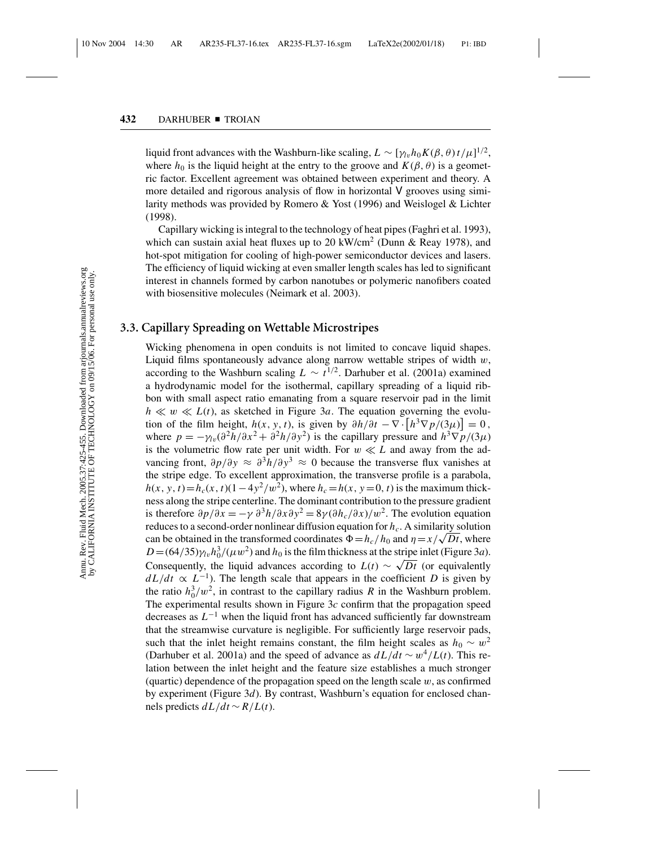liquid front advances with the Washburn-like scaling,  $L \sim [\gamma_{lv} h_0 K(\beta, \theta) t / \mu]^{1/2}$ , where  $h_0$  is the liquid height at the entry to the groove and  $K(\beta, \theta)$  is a geometric factor. Excellent agreement was obtained between experiment and theory. A more detailed and rigorous analysis of flow in horizontal V grooves using similarity methods was provided by Romero & Yost (1996) and Weislogel & Lichter (1998).

Capillary wicking is integral to the technology of heat pipes (Faghri et al. 1993), which can sustain axial heat fluxes up to 20 kW/cm<sup>2</sup> (Dunn & Reay 1978), and hot-spot mitigation for cooling of high-power semiconductor devices and lasers. The efficiency of liquid wicking at even smaller length scales has led to significant interest in channels formed by carbon nanotubes or polymeric nanofibers coated with biosensitive molecules (Neimark et al. 2003).

## **3.3. Capillary Spreading on Wettable Microstripes**

Wicking phenomena in open conduits is not limited to concave liquid shapes. Liquid films spontaneously advance along narrow wettable stripes of width  $w$ , according to the Washburn scaling  $L \sim t^{1/2}$ . Darhuber et al. (2001a) examined a hydrodynamic model for the isothermal, capillary spreading of a liquid ribbon with small aspect ratio emanating from a square reservoir pad in the limit  $h \ll w \ll L(t)$ , as sketched in Figure 3*a*. The equation governing the evolution of the film height,  $h(x, y, t)$ , is given by  $\partial h/\partial t - \nabla \cdot [h^3 \nabla p/(3\mu)] = 0$ , where  $p = -\gamma_{lv}(\partial^2 h/\partial x^2 + \partial^2 h/\partial y^2)$  is the capillary pressure and  $h^3 \nabla p/(3\mu)$ is the volumetric flow rate per unit width. For  $w \ll L$  and away from the advancing front,  $\partial p/\partial y \approx \partial^3 h/\partial y^3 \approx 0$  because the transverse flux vanishes at the stripe edge. To excellent approximation, the transverse profile is a parabola,  $h(x, y, t) = h_c(x, t)(1-4y^2/w^2)$ , where  $h_c = h(x, y = 0, t)$  is the maximum thickness along the stripe centerline. The dominant contribution to the pressure gradient is therefore  $\partial p/\partial x = -\gamma \partial^3 h/\partial x \partial y^2 = 8\gamma (\partial h_c/\partial x)/w^2$ . The evolution equation reduces to a second-order nonlinear diffusion equation for *hc*. A similarity solution can be obtained in the transformed coordinates  $\Phi = h_c/h_0$  and  $\eta = x/\sqrt{Dt}$ , where  $D = (64/35)\gamma_{lv}h_0^3/(\mu w^2)$  and  $h_0$  is the film thickness at the stripe inlet (Figure 3*a*). Consequently, the liquid advances according to  $L(t) \sim \sqrt{Dt}$  (or equivalently  $dL/dt \propto L^{-1}$ ). The length scale that appears in the coefficient *D* is given by the ratio  $h_0^3/w^2$ , in contrast to the capillary radius *R* in the Washburn problem. The experimental results shown in Figure 3*c* confirm that the propagation speed decreases as *L*−<sup>1</sup> when the liquid front has advanced sufficiently far downstream that the streamwise curvature is negligible. For sufficiently large reservoir pads, such that the inlet height remains constant, the film height scales as  $h_0 \sim w^2$ (Darhuber et al. 2001a) and the speed of advance as  $dL/dt \sim w^4/L(t)$ . This relation between the inlet height and the feature size establishes a much stronger (quartic) dependence of the propagation speed on the length scale  $w$ , as confirmed by experiment (Figure 3*d*). By contrast, Washburn's equation for enclosed channels predicts  $dL/dt$  ∼  $R/L(t)$ .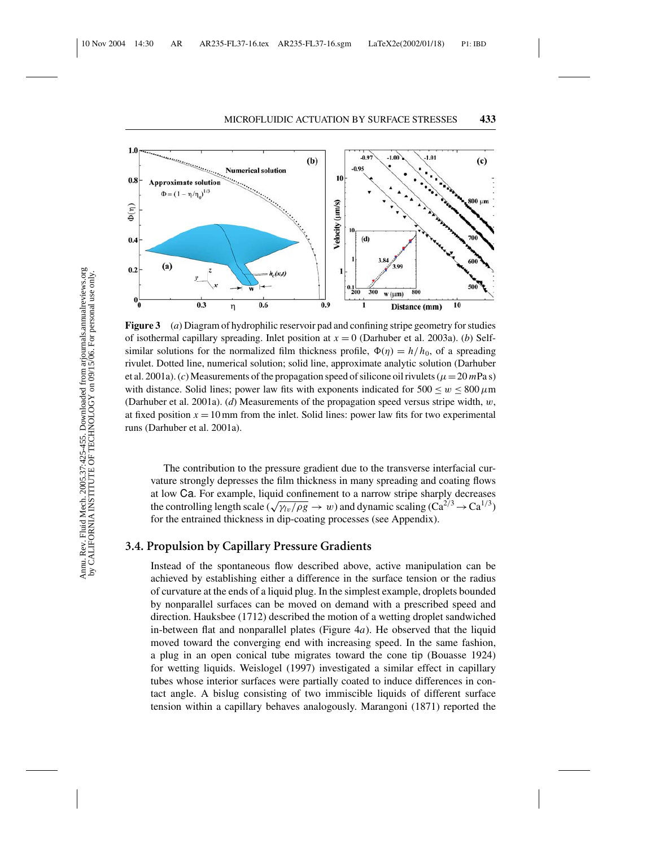

**Figure 3** (*a*) Diagram of hydrophilic reservoir pad and confining stripe geometry for studies of isothermal capillary spreading. Inlet position at *x* = 0 (Darhuber et al. 2003a). (*b*) Selfsimilar solutions for the normalized film thickness profile,  $\Phi(\eta) = h/h_0$ , of a spreading rivulet. Dotted line, numerical solution; solid line, approximate analytic solution (Darhuber et al. 2001a). (*c*) Measurements of the propagation speed of silicone oil rivulets ( $\mu = 20$  *m*Pa s) with distance. Solid lines; power law fits with exponents indicated for  $500 \le w \le 800 \,\mu m$ (Darhuber et al. 2001a). (*d*) Measurements of the propagation speed versus stripe width, w, at fixed position  $x = 10$  mm from the inlet. Solid lines: power law fits for two experimental runs (Darhuber et al. 2001a).

The contribution to the pressure gradient due to the transverse interfacial curvature strongly depresses the film thickness in many spreading and coating flows at low Ca. For example, liquid confinement to a narrow stripe sharply decreases the controlling length scale  $(\sqrt{\gamma_{lv}/\rho g} \to w)$  and dynamic scaling  $(Ca^{2/3} \to Ca^{1/3})$ for the entrained thickness in dip-coating processes (see Appendix).

## **3.4. Propulsion by Capillary Pressure Gradients**

Instead of the spontaneous flow described above, active manipulation can be achieved by establishing either a difference in the surface tension or the radius of curvature at the ends of a liquid plug. In the simplest example, droplets bounded by nonparallel surfaces can be moved on demand with a prescribed speed and direction. Hauksbee (1712) described the motion of a wetting droplet sandwiched in-between flat and nonparallel plates (Figure 4*a*). He observed that the liquid moved toward the converging end with increasing speed. In the same fashion, a plug in an open conical tube migrates toward the cone tip (Bouasse 1924) for wetting liquids. Weislogel (1997) investigated a similar effect in capillary tubes whose interior surfaces were partially coated to induce differences in contact angle. A bislug consisting of two immiscible liquids of different surface tension within a capillary behaves analogously. Marangoni (1871) reported the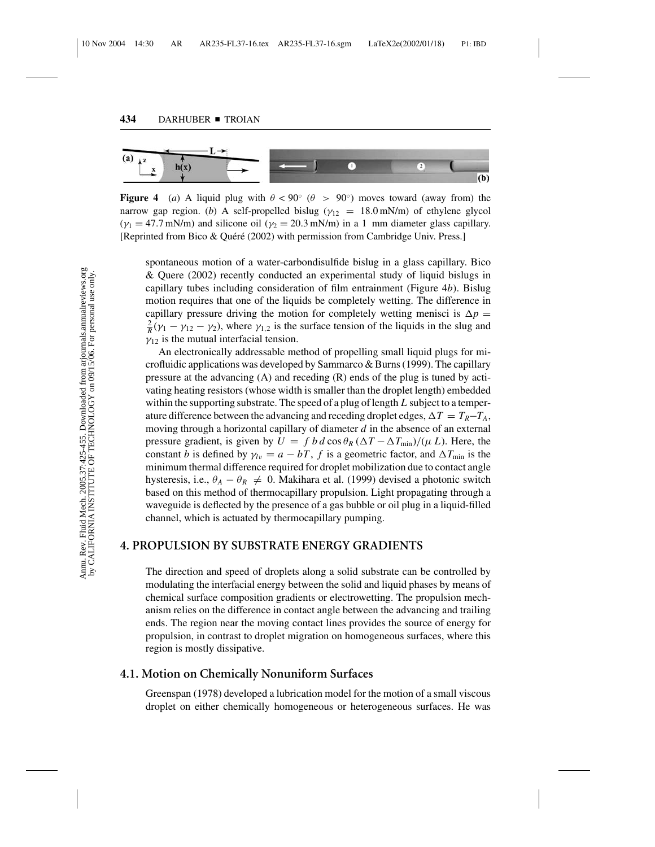

**Figure 4** (*a*) A liquid plug with  $\theta < 90^\circ$  ( $\theta > 90^\circ$ ) moves toward (away from) the narrow gap region. (*b*) A self-propelled bislug ( $\gamma_{12} = 18.0$  mN/m) of ethylene glycol  $(\gamma_1 = 47.7 \text{ mN/m})$  and silicone oil  $(\gamma_2 = 20.3 \text{ mN/m})$  in a 1 mm diameter glass capillary. [Reprinted from Bico & Quéré (2002) with permission from Cambridge Univ. Press.]

spontaneous motion of a water-carbondisulfide bislug in a glass capillary. Bico & Quere (2002) recently conducted an experimental study of liquid bislugs in capillary tubes including consideration of film entrainment (Figure 4*b*). Bislug motion requires that one of the liquids be completely wetting. The difference in capillary pressure driving the motion for completely wetting menisci is  $\Delta p =$  $\frac{2}{R}(\gamma_1 - \gamma_{12} - \gamma_2)$ , where  $\gamma_{1,2}$  is the surface tension of the liquids in the slug and  $\gamma_{12}$  is the mutual interfacial tension.

An electronically addressable method of propelling small liquid plugs for microfluidic applications was developed by Sammarco & Burns (1999). The capillary pressure at the advancing  $(A)$  and receding  $(R)$  ends of the plug is tuned by activating heating resistors (whose width is smaller than the droplet length) embedded within the supporting substrate. The speed of a plug of length *L* subject to a temperature difference between the advancing and receding droplet edges,  $\Delta T = T_R - T_A$ , moving through a horizontal capillary of diameter *d* in the absence of an external pressure gradient, is given by  $U = f b d \cos \theta_R (\Delta T - \Delta T_{min})/(\mu L)$ . Here, the constant *b* is defined by  $\gamma_{lv} = a - bT$ , *f* is a geometric factor, and  $\Delta T_{min}$  is the minimum thermal difference required for droplet mobilization due to contact angle hysteresis, i.e.,  $\theta_A - \theta_R \neq 0$ . Makihara et al. (1999) devised a photonic switch based on this method of thermocapillary propulsion. Light propagating through a waveguide is deflected by the presence of a gas bubble or oil plug in a liquid-filled channel, which is actuated by thermocapillary pumping.

## **4. PROPULSION BY SUBSTRATE ENERGY GRADIENTS**

The direction and speed of droplets along a solid substrate can be controlled by modulating the interfacial energy between the solid and liquid phases by means of chemical surface composition gradients or electrowetting. The propulsion mechanism relies on the difference in contact angle between the advancing and trailing ends. The region near the moving contact lines provides the source of energy for propulsion, in contrast to droplet migration on homogeneous surfaces, where this region is mostly dissipative.

## **4.1. Motion on Chemically Nonuniform Surfaces**

Greenspan (1978) developed a lubrication model for the motion of a small viscous droplet on either chemically homogeneous or heterogeneous surfaces. He was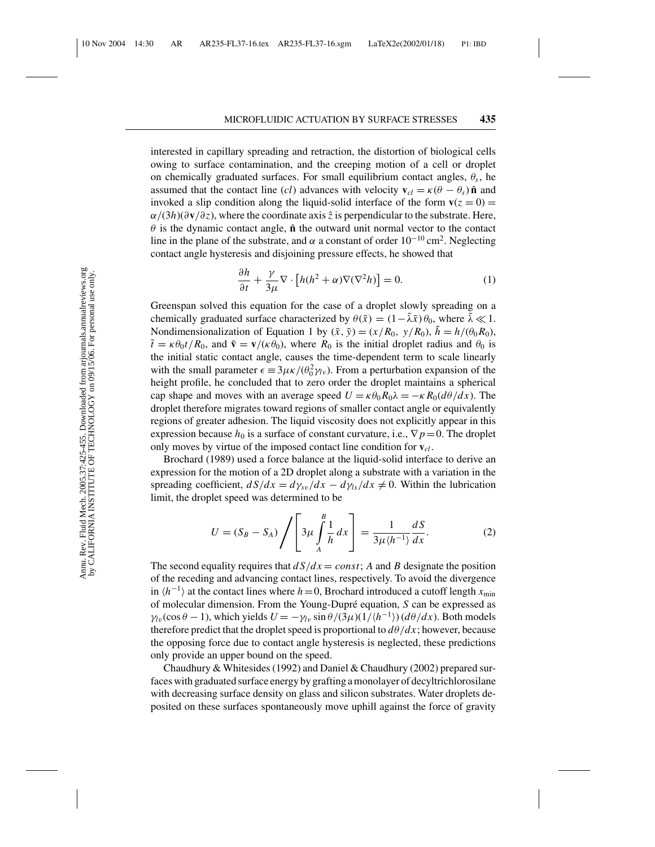interested in capillary spreading and retraction, the distortion of biological cells owing to surface contamination, and the creeping motion of a cell or droplet on chemically graduated surfaces. For small equilibrium contact angles,  $\theta_s$ , he assumed that the contact line (*cl*) advances with velocity  $\mathbf{v}_{cl} = \kappa(\theta - \theta_s) \hat{\mathbf{n}}$  and invoked a slip condition along the liquid-solid interface of the form  $\mathbf{v}(z = 0) =$ α/(3*h*)(∂**v**/∂*z*), where the coordinate axis *z*ˆ is perpendicular to the substrate. Here,  $\theta$  is the dynamic contact angle,  $\hat{\bf{n}}$  the outward unit normal vector to the contact line in the plane of the substrate, and  $\alpha$  a constant of order 10<sup>-10</sup> cm<sup>2</sup>. Neglecting contact angle hysteresis and disjoining pressure effects, he showed that

$$
\frac{\partial h}{\partial t} + \frac{\gamma}{3\mu} \nabla \cdot \left[ h(h^2 + \alpha) \nabla (\nabla^2 h) \right] = 0.
$$
 (1)

Greenspan solved this equation for the case of a droplet slowly spreading on a chemically graduated surface characterized by  $\theta(\tilde{x}) = (1 - \tilde{\lambda}\tilde{x})\theta_0$ , where  $\tilde{\lambda} \ll 1$ . Nondimensionalization of Equation 1 by  $(\tilde{x}, \tilde{y}) = (x/R_0, y/R_0), \tilde{h} = h/(\theta_0 R_0)$ ,  $\tilde{t} = \kappa \theta_0 t / R_0$ , and  $\tilde{v} = v / (\kappa \theta_0)$ , where  $R_0$  is the initial droplet radius and  $\theta_0$  is the initial static contact angle, causes the time-dependent term to scale linearly with the small parameter  $\epsilon = 3\mu \kappa/(\theta_0^2 \gamma_v)$ . From a perturbation expansion of the height profile, he concluded that to zero order the droplet maintains a spherical cap shape and moves with an average speed  $U = \kappa \theta_0 R_0 \lambda = -\kappa R_0 (d\theta/dx)$ . The droplet therefore migrates toward regions of smaller contact angle or equivalently regions of greater adhesion. The liquid viscosity does not explicitly appear in this expression because  $h_0$  is a surface of constant curvature, i.e.,  $\nabla p = 0$ . The droplet only moves by virtue of the imposed contact line condition for **v***cl* .

Brochard (1989) used a force balance at the liquid-solid interface to derive an expression for the motion of a 2D droplet along a substrate with a variation in the spreading coefficient,  $dS/dx = d\gamma_{sv}/dx - d\gamma_{ls}/dx \neq 0$ . Within the lubrication limit, the droplet speed was determined to be

$$
U = (S_B - S_A) \left/ \left[ 3\mu \int_A^B \frac{1}{h} dx \right] = \frac{1}{3\mu \langle h^{-1} \rangle} \frac{dS}{dx}.
$$
 (2)

The second equality requires that  $dS/dx = const$ ; *A* and *B* designate the position of the receding and advancing contact lines, respectively. To avoid the divergence in  $\langle h^{-1} \rangle$  at the contact lines where *h* = 0, Brochard introduced a cutoff length  $x_{\min}$ of molecular dimension. From the Young-Dupr´e equation, *S* can be expressed as  $\gamma_{lv}(\cos\theta - 1)$ , which yields  $U = -\gamma_{lv} \sin \theta/(3\mu)(1/(h^{-1}))(d\theta/dx)$ . Both models therefore predict that the droplet speed is proportional to  $d\theta/dx$ ; however, because the opposing force due to contact angle hysteresis is neglected, these predictions only provide an upper bound on the speed.

Chaudhury & Whitesides (1992) and Daniel & Chaudhury (2002) prepared surfaces with graduated surface energy by grafting a monolayer of decyltrichlorosilane with decreasing surface density on glass and silicon substrates. Water droplets deposited on these surfaces spontaneously move uphill against the force of gravity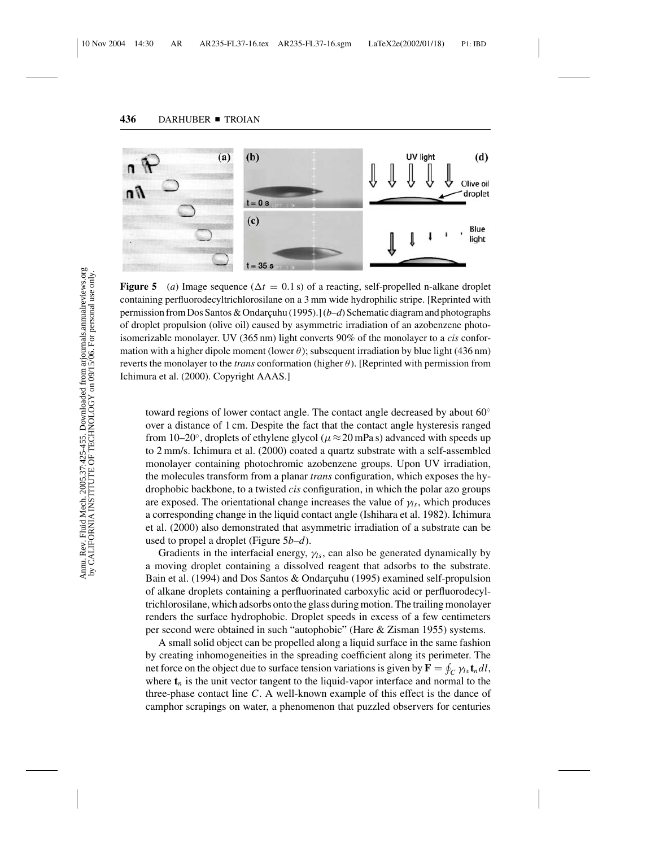

**Figure 5** (a) Image sequence ( $\Delta t = 0.1$  s) of a reacting, self-propelled n-alkane droplet containing perfluorodecyltrichlorosilane on a 3 mm wide hydrophilic stripe. [Reprinted with permission from Dos Santos & Ondarçuhu (1995).] (*b-d*) Schematic diagram and photographs of droplet propulsion (olive oil) caused by asymmetric irradiation of an azobenzene photoisomerizable monolayer. UV (365 nm) light converts 90% of the monolayer to a *cis* conformation with a higher dipole moment (lower  $\theta$ ); subsequent irradiation by blue light (436 nm) reverts the monolayer to the *trans* conformation (higher θ). [Reprinted with permission from Ichimura et al. (2000). Copyright AAAS.]

toward regions of lower contact angle. The contact angle decreased by about 60◦ over a distance of 1 cm. Despite the fact that the contact angle hysteresis ranged from 10–20°, droplets of ethylene glycol ( $\mu \approx 20$  mPa s) advanced with speeds up to 2 mm/s. Ichimura et al. (2000) coated a quartz substrate with a self-assembled monolayer containing photochromic azobenzene groups. Upon UV irradiation, the molecules transform from a planar *trans* configuration, which exposes the hydrophobic backbone, to a twisted *cis* configuration, in which the polar azo groups are exposed. The orientational change increases the value of  $\gamma_{ls}$ , which produces a corresponding change in the liquid contact angle (Ishihara et al. 1982). Ichimura et al. (2000) also demonstrated that asymmetric irradiation of a substrate can be used to propel a droplet (Figure 5*b*–*d*).

Gradients in the interfacial energy,  $\gamma_{ls}$ , can also be generated dynamically by a moving droplet containing a dissolved reagent that adsorbs to the substrate. Bain et al. (1994) and Dos Santos & Ondarçuhu (1995) examined self-propulsion of alkane droplets containing a perfluorinated carboxylic acid or perfluorodecyltrichlorosilane, which adsorbs onto the glass during motion. The trailing monolayer renders the surface hydrophobic. Droplet speeds in excess of a few centimeters per second were obtained in such "autophobic" (Hare & Zisman 1955) systems.

A small solid object can be propelled along a liquid surface in the same fashion by creating inhomogeneities in the spreading coefficient along its perimeter. The net force on the object due to surface tension variations is given by  $\mathbf{F} = \oint_C \gamma_l \mathbf{t}_n dl$ , where  $t_n$  is the unit vector tangent to the liquid-vapor interface and normal to the three-phase contact line *C*. A well-known example of this effect is the dance of camphor scrapings on water, a phenomenon that puzzled observers for centuries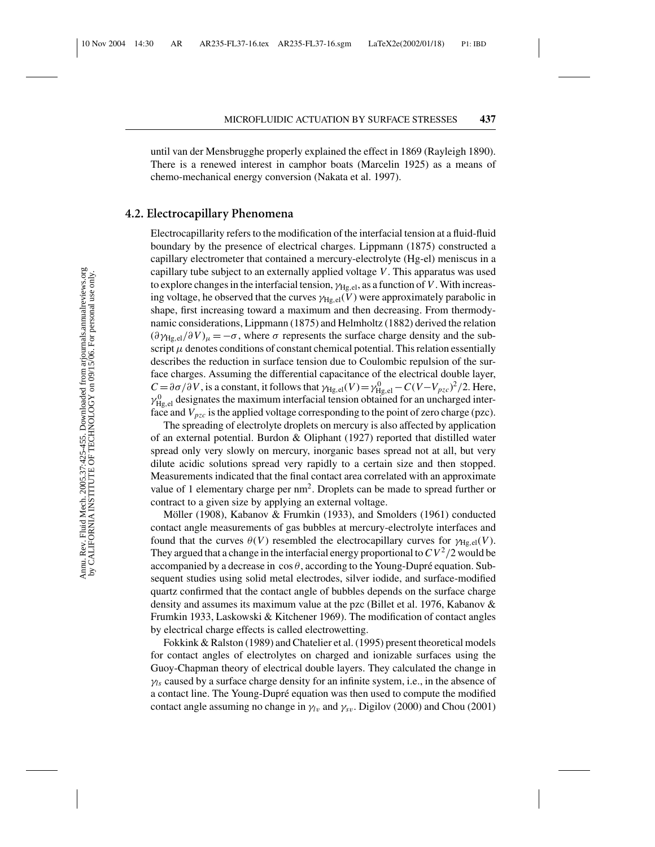until van der Mensbrugghe properly explained the effect in 1869 (Rayleigh 1890). There is a renewed interest in camphor boats (Marcelin 1925) as a means of chemo-mechanical energy conversion (Nakata et al. 1997).

## **4.2. Electrocapillary Phenomena**

Electrocapillarity refers to the modification of the interfacial tension at a fluid-fluid boundary by the presence of electrical charges. Lippmann (1875) constructed a capillary electrometer that contained a mercury-electrolyte (Hg-el) meniscus in a capillary tube subject to an externally applied voltage *V*. This apparatus was used to explore changes in the interfacial tension,  $\gamma_{\text{He, el}}$ , as a function of *V*. With increasing voltage, he observed that the curves  $\gamma_{\text{He,el}}(V)$  were approximately parabolic in shape, first increasing toward a maximum and then decreasing. From thermodynamic considerations, Lippmann (1875) and Helmholtz (1882) derived the relation  $(\partial \gamma_{\text{He,el}}/\partial V)_{\mu} = -\sigma$ , where  $\sigma$  represents the surface charge density and the subscript  $\mu$  denotes conditions of constant chemical potential. This relation essentially describes the reduction in surface tension due to Coulombic repulsion of the surface charges. Assuming the differential capacitance of the electrical double layer,  $C = \frac{\partial \sigma}{\partial V}$ , is a constant, it follows that  $\gamma_{Hg,el}(V) = \gamma_{Hg,el}^0 - C(V - V_{pzc})^2/2$ . Here,  $\gamma_{\rm Hg,el}^0$  designates the maximum interfacial tension obtained for an uncharged interface and  $V_{pzc}$  is the applied voltage corresponding to the point of zero charge (pzc).

The spreading of electrolyte droplets on mercury is also affected by application of an external potential. Burdon  $\&$  Oliphant (1927) reported that distilled water spread only very slowly on mercury, inorganic bases spread not at all, but very dilute acidic solutions spread very rapidly to a certain size and then stopped. Measurements indicated that the final contact area correlated with an approximate value of 1 elementary charge per nm<sup>2</sup>. Droplets can be made to spread further or contract to a given size by applying an external voltage.

Möller (1908), Kabanov & Frumkin (1933), and Smolders (1961) conducted contact angle measurements of gas bubbles at mercury-electrolyte interfaces and found that the curves  $\theta(V)$  resembled the electrocapillary curves for  $\gamma_{\text{He,el}}(V)$ . They argued that a change in the interfacial energy proportional to  $CV^2/2$  would be accompanied by a decrease in  $\cos \theta$ , according to the Young-Dupré equation. Subsequent studies using solid metal electrodes, silver iodide, and surface-modified quartz confirmed that the contact angle of bubbles depends on the surface charge density and assumes its maximum value at the pzc (Billet et al. 1976, Kabanov & Frumkin 1933, Laskowski & Kitchener 1969). The modification of contact angles by electrical charge effects is called electrowetting.

Fokkink & Ralston (1989) and Chatelier et al. (1995) present theoretical models for contact angles of electrolytes on charged and ionizable surfaces using the Guoy-Chapman theory of electrical double layers. They calculated the change in  $\gamma$ <sub>*ls*</sub> caused by a surface charge density for an infinite system, i.e., in the absence of a contact line. The Young-Dupré equation was then used to compute the modified contact angle assuming no change in  $\gamma_{lv}$  and  $\gamma_{sv}$ . Digilov (2000) and Chou (2001)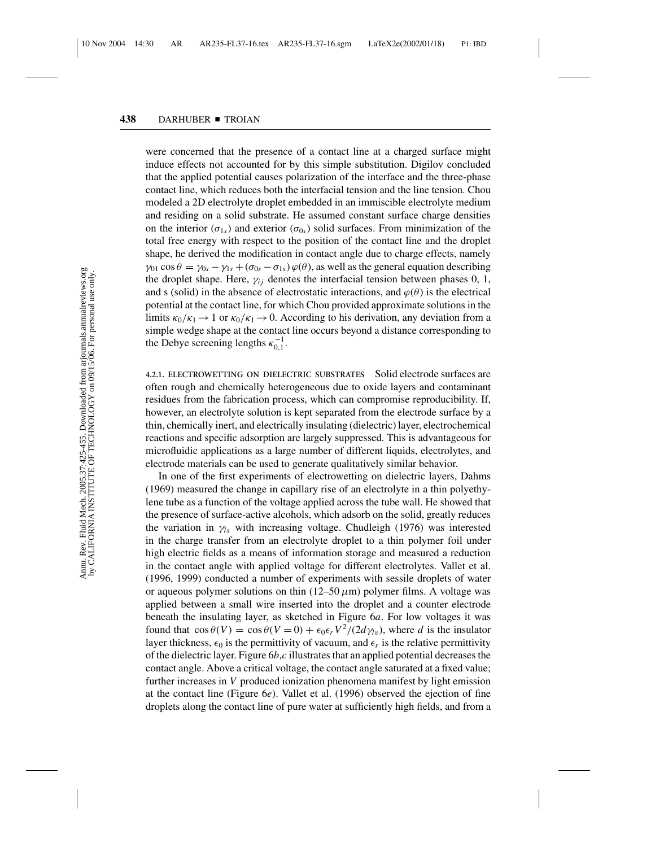were concerned that the presence of a contact line at a charged surface might induce effects not accounted for by this simple substitution. Digilov concluded that the applied potential causes polarization of the interface and the three-phase contact line, which reduces both the interfacial tension and the line tension. Chou modeled a 2D electrolyte droplet embedded in an immiscible electrolyte medium and residing on a solid substrate. He assumed constant surface charge densities on the interior ( $\sigma_{1s}$ ) and exterior ( $\sigma_{0s}$ ) solid surfaces. From minimization of the total free energy with respect to the position of the contact line and the droplet shape, he derived the modification in contact angle due to charge effects, namely  $\gamma_{01}$  cos  $\theta = \gamma_{0s} - \gamma_{1s} + (\sigma_{0s} - \sigma_{1s}) \varphi(\theta)$ , as well as the general equation describing the droplet shape. Here,  $\gamma_{ij}$  denotes the interfacial tension between phases 0, 1, and s (solid) in the absence of electrostatic interactions, and  $\varphi(\theta)$  is the electrical potential at the contact line, for which Chou provided approximate solutions in the limits  $\kappa_0/\kappa_1 \rightarrow 1$  or  $\kappa_0/\kappa_1 \rightarrow 0$ . According to his derivation, any deviation from a simple wedge shape at the contact line occurs beyond a distance corresponding to the Debye screening lengths  $\kappa_{0,1}^{-1}$ .

**4.2.1. ELECTROWETTING ON DIELECTRIC SUBSTRATES** Solid electrode surfaces are often rough and chemically heterogeneous due to oxide layers and contaminant residues from the fabrication process, which can compromise reproducibility. If, however, an electrolyte solution is kept separated from the electrode surface by a thin, chemically inert, and electrically insulating (dielectric) layer, electrochemical reactions and specific adsorption are largely suppressed. This is advantageous for microfluidic applications as a large number of different liquids, electrolytes, and electrode materials can be used to generate qualitatively similar behavior.

In one of the first experiments of electrowetting on dielectric layers, Dahms (1969) measured the change in capillary rise of an electrolyte in a thin polyethylene tube as a function of the voltage applied across the tube wall. He showed that the presence of surface-active alcohols, which adsorb on the solid, greatly reduces the variation in  $\gamma_{ls}$  with increasing voltage. Chudleigh (1976) was interested in the charge transfer from an electrolyte droplet to a thin polymer foil under high electric fields as a means of information storage and measured a reduction in the contact angle with applied voltage for different electrolytes. Vallet et al. (1996, 1999) conducted a number of experiments with sessile droplets of water or aqueous polymer solutions on thin  $(12–50 \,\mu\text{m})$  polymer films. A voltage was applied between a small wire inserted into the droplet and a counter electrode beneath the insulating layer, as sketched in Figure 6*a*. For low voltages it was found that  $\cos \theta(V) = \cos \theta(V = 0) + \epsilon_0 \epsilon_r V^2 / (2 d \gamma_l v)$ , where *d* is the insulator layer thickness,  $\epsilon_0$  is the permittivity of vacuum, and  $\epsilon_r$  is the relative permittivity of the dielectric layer. Figure 6*b*,*c* illustrates that an applied potential decreases the contact angle. Above a critical voltage, the contact angle saturated at a fixed value; further increases in *V* produced ionization phenomena manifest by light emission at the contact line (Figure 6*e*). Vallet et al. (1996) observed the ejection of fine droplets along the contact line of pure water at sufficiently high fields, and from a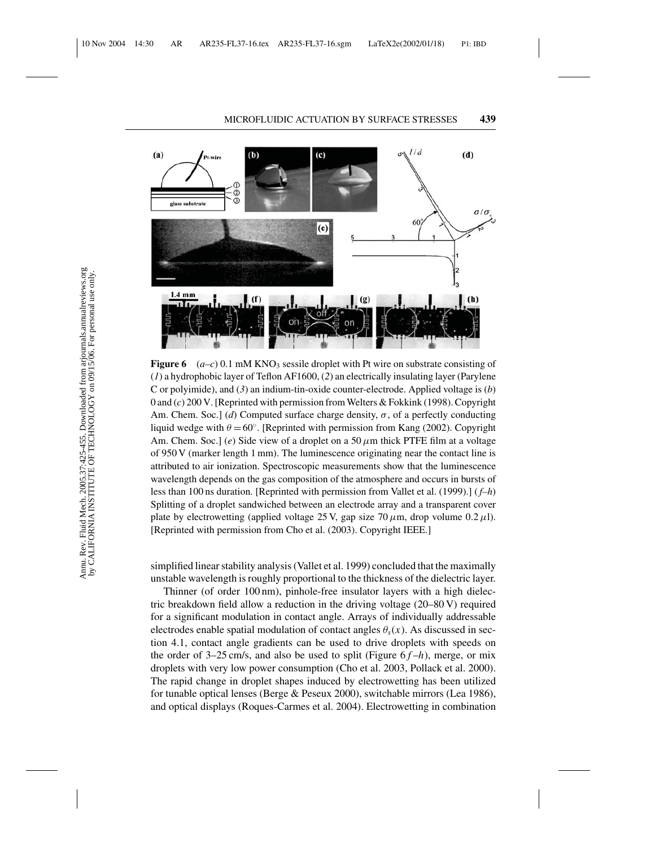

**Figure 6** ( $a-c$ ) 0.1 mM KNO<sub>3</sub> sessile droplet with Pt wire on substrate consisting of (*1*) a hydrophobic layer of Teflon AF1600, (*2*) an electrically insulating layer (Parylene C or polyimide), and (*3*) an indium-tin-oxide counter-electrode. Applied voltage is (*b*) 0 and (*c*) 200 V. [Reprinted with permission from Welters & Fokkink (1998). Copyright Am. Chem. Soc.] (*d*) Computed surface charge density,  $\sigma$ , of a perfectly conducting liquid wedge with  $\theta = 60^\circ$ . [Reprinted with permission from Kang (2002). Copyright Am. Chem. Soc.] (*e*) Side view of a droplet on a 50  $\mu$ m thick PTFE film at a voltage of 950 V (marker length 1 mm). The luminescence originating near the contact line is attributed to air ionization. Spectroscopic measurements show that the luminescence wavelength depends on the gas composition of the atmosphere and occurs in bursts of less than 100 ns duration. [Reprinted with permission from Vallet et al. (1999).] ( *f–h*) Splitting of a droplet sandwiched between an electrode array and a transparent cover plate by electrowetting (applied voltage 25 V, gap size 70  $\mu$ m, drop volume 0.2  $\mu$ l). [Reprinted with permission from Cho et al. (2003). Copyright IEEE.]

simplified linear stability analysis (Vallet et al. 1999) concluded that the maximally unstable wavelength is roughly proportional to the thickness of the dielectric layer.

Thinner (of order 100 nm), pinhole-free insulator layers with a high dielectric breakdown field allow a reduction in the driving voltage (20–80 V) required for a significant modulation in contact angle. Arrays of individually addressable electrodes enable spatial modulation of contact angles  $\theta_s(x)$ . As discussed in section 4.1, contact angle gradients can be used to drive droplets with speeds on the order of  $3-25$  cm/s, and also be used to split (Figure  $6f-h$ ), merge, or mix droplets with very low power consumption (Cho et al. 2003, Pollack et al. 2000). The rapid change in droplet shapes induced by electrowetting has been utilized for tunable optical lenses (Berge & Peseux 2000), switchable mirrors (Lea 1986), and optical displays (Roques-Carmes et al. 2004). Electrowetting in combination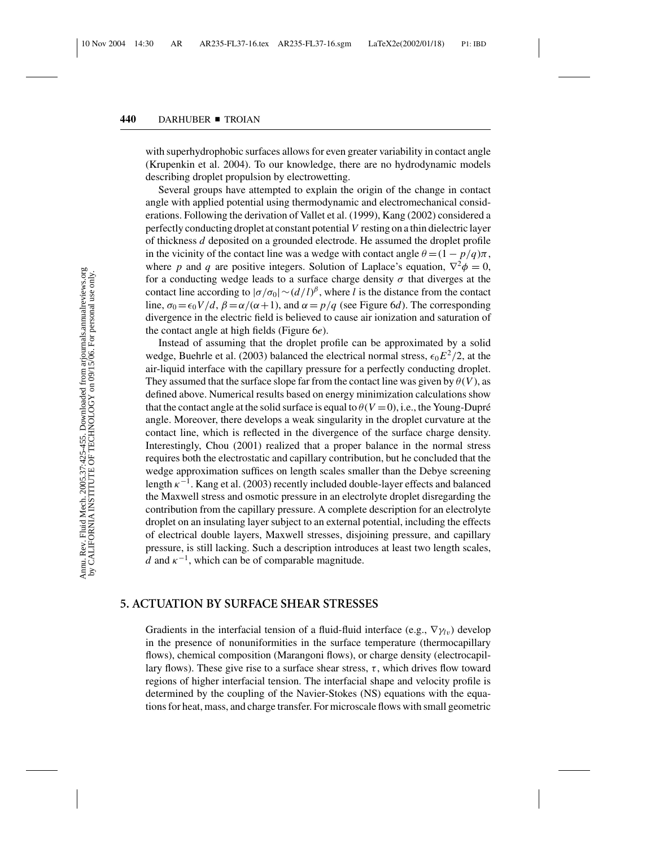with superhydrophobic surfaces allows for even greater variability in contact angle (Krupenkin et al. 2004). To our knowledge, there are no hydrodynamic models describing droplet propulsion by electrowetting.

Several groups have attempted to explain the origin of the change in contact angle with applied potential using thermodynamic and electromechanical considerations. Following the derivation of Vallet et al. (1999), Kang (2002) considered a perfectly conducting droplet at constant potential *V* resting on a thin dielectric layer of thickness *d* deposited on a grounded electrode. He assumed the droplet profile in the vicinity of the contact line was a wedge with contact angle  $\theta = (1 - p/q)\pi$ , where *p* and *q* are positive integers. Solution of Laplace's equation,  $\nabla^2 \phi = 0$ , for a conducting wedge leads to a surface charge density  $\sigma$  that diverges at the contact line according to  $|\sigma/\sigma_0| \sim (d/l)^{\beta}$ , where *l* is the distance from the contact line,  $\sigma_0 = \epsilon_0 V/d$ ,  $\beta = \alpha/(\alpha + 1)$ , and  $\alpha = p/q$  (see Figure 6*d*). The corresponding divergence in the electric field is believed to cause air ionization and saturation of the contact angle at high fields (Figure 6*e*).

Instead of assuming that the droplet profile can be approximated by a solid wedge, Buehrle et al. (2003) balanced the electrical normal stress,  $\epsilon_0 E^2/2$ , at the air-liquid interface with the capillary pressure for a perfectly conducting droplet. They assumed that the surface slope far from the contact line was given by  $\theta(V)$ , as defined above. Numerical results based on energy minimization calculations show that the contact angle at the solid surface is equal to  $\theta(V=0)$ , i.e., the Young-Dupré angle. Moreover, there develops a weak singularity in the droplet curvature at the contact line, which is reflected in the divergence of the surface charge density. Interestingly, Chou (2001) realized that a proper balance in the normal stress requires both the electrostatic and capillary contribution, but he concluded that the wedge approximation suffices on length scales smaller than the Debye screening length  $\kappa^{-1}$ . Kang et al. (2003) recently included double-layer effects and balanced the Maxwell stress and osmotic pressure in an electrolyte droplet disregarding the contribution from the capillary pressure. A complete description for an electrolyte droplet on an insulating layer subject to an external potential, including the effects of electrical double layers, Maxwell stresses, disjoining pressure, and capillary pressure, is still lacking. Such a description introduces at least two length scales, *d* and  $\kappa^{-1}$ , which can be of comparable magnitude.

#### **5. ACTUATION BY SURFACE SHEAR STRESSES**

Gradients in the interfacial tension of a fluid-fluid interface (e.g.,  $\nabla \gamma_{lv}$ ) develop in the presence of nonuniformities in the surface temperature (thermocapillary flows), chemical composition (Marangoni flows), or charge density (electrocapillary flows). These give rise to a surface shear stress,  $\tau$ , which drives flow toward regions of higher interfacial tension. The interfacial shape and velocity profile is determined by the coupling of the Navier-Stokes (NS) equations with the equations for heat, mass, and charge transfer. For microscale flows with small geometric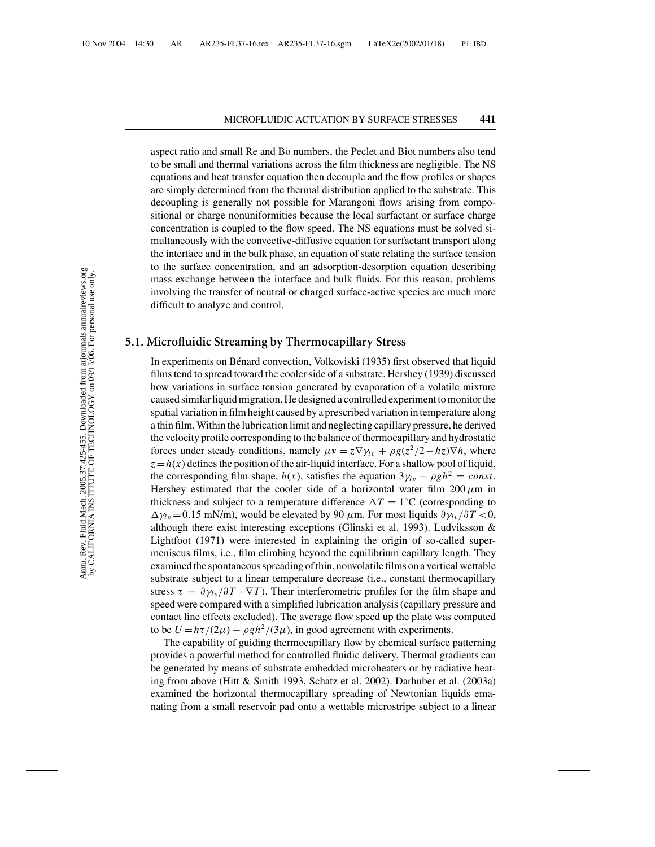aspect ratio and small Re and Bo numbers, the Peclet and Biot numbers also tend to be small and thermal variations across the film thickness are negligible. The NS equations and heat transfer equation then decouple and the flow profiles or shapes are simply determined from the thermal distribution applied to the substrate. This decoupling is generally not possible for Marangoni flows arising from compositional or charge nonuniformities because the local surfactant or surface charge concentration is coupled to the flow speed. The NS equations must be solved simultaneously with the convective-diffusive equation for surfactant transport along the interface and in the bulk phase, an equation of state relating the surface tension to the surface concentration, and an adsorption-desorption equation describing mass exchange between the interface and bulk fluids. For this reason, problems involving the transfer of neutral or charged surface-active species are much more difficult to analyze and control.

## **5.1. Microfluidic Streaming by Thermocapillary Stress**

In experiments on Bénard convection, Volkoviski (1935) first observed that liquid films tend to spread toward the cooler side of a substrate. Hershey (1939) discussed how variations in surface tension generated by evaporation of a volatile mixture caused similar liquid migration. He designed a controlled experiment to monitor the spatial variation in film height caused by a prescribed variation in temperature along a thin film. Within the lubrication limit and neglecting capillary pressure, he derived the velocity profile corresponding to the balance of thermocapillary and hydrostatic forces under steady conditions, namely  $\mu \mathbf{v} = z \nabla \gamma_l v + \rho g (z^2/2 - hz) \nabla h$ , where  $z = h(x)$  defines the position of the air-liquid interface. For a shallow pool of liquid, the corresponding film shape,  $h(x)$ , satisfies the equation  $3\gamma_{lv} - \rho gh^2 = const.$ Hershey estimated that the cooler side of a horizontal water film  $200 \mu m$  in thickness and subject to a temperature difference  $\Delta T = 1$ <sup>°</sup>C (corresponding to  $\Delta \gamma_l$ <sub>v</sub> = 0.15 mN/m), would be elevated by 90  $\mu$ m. For most liquids  $\partial \gamma_l$ <sub>v</sub>/ $\partial T$  < 0, although there exist interesting exceptions (Glinski et al. 1993). Ludviksson & Lightfoot (1971) were interested in explaining the origin of so-called supermeniscus films, i.e., film climbing beyond the equilibrium capillary length. They examined the spontaneous spreading of thin, nonvolatile films on a vertical wettable substrate subject to a linear temperature decrease (i.e., constant thermocapillary stress  $\tau = \partial \gamma_{lv}/\partial T \cdot \nabla T$ ). Their interferometric profiles for the film shape and speed were compared with a simplified lubrication analysis (capillary pressure and contact line effects excluded). The average flow speed up the plate was computed to be  $U = h\tau/(2\mu) - \rho g h^2/(3\mu)$ , in good agreement with experiments.

The capability of guiding thermocapillary flow by chemical surface patterning provides a powerful method for controlled fluidic delivery. Thermal gradients can be generated by means of substrate embedded microheaters or by radiative heating from above (Hitt & Smith 1993, Schatz et al. 2002). Darhuber et al. (2003a) examined the horizontal thermocapillary spreading of Newtonian liquids emanating from a small reservoir pad onto a wettable microstripe subject to a linear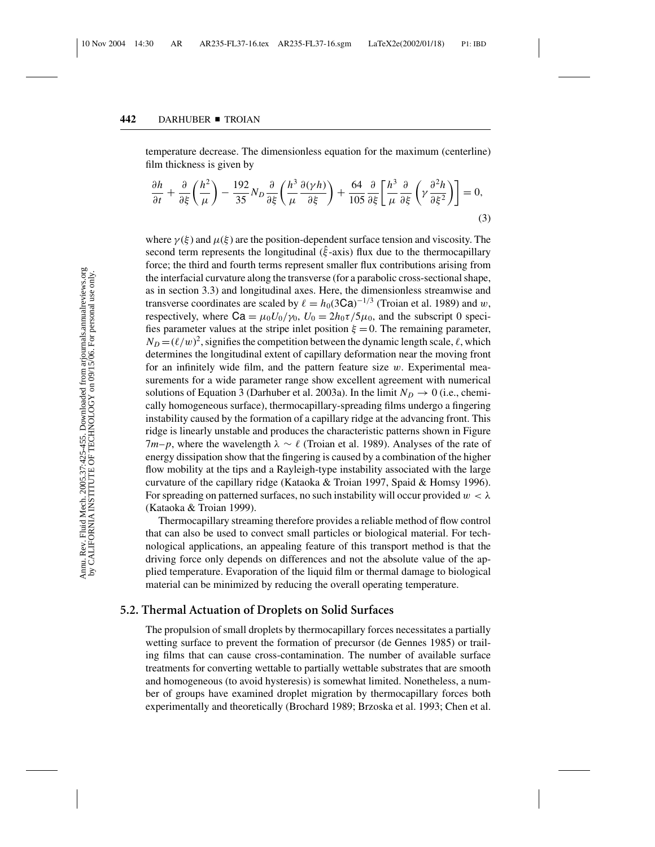temperature decrease. The dimensionless equation for the maximum (centerline) film thickness is given by

$$
\frac{\partial h}{\partial t} + \frac{\partial}{\partial \xi} \left( \frac{h^2}{\mu} \right) - \frac{192}{35} N_D \frac{\partial}{\partial \xi} \left( \frac{h^3}{\mu} \frac{\partial (\gamma h)}{\partial \xi} \right) + \frac{64}{105} \frac{\partial}{\partial \xi} \left[ \frac{h^3}{\mu} \frac{\partial}{\partial \xi} \left( \gamma \frac{\partial^2 h}{\partial \xi^2} \right) \right] = 0,
$$
\n(3)

where  $\gamma(\xi)$  and  $\mu(\xi)$  are the position-dependent surface tension and viscosity. The second term represents the longitudinal ( $\hat{\xi}$ -axis) flux due to the thermocapillary force; the third and fourth terms represent smaller flux contributions arising from the interfacial curvature along the transverse (for a parabolic cross-sectional shape, as in section 3.3) and longitudinal axes. Here, the dimensionless streamwise and transverse coordinates are scaled by  $\ell = h_0(3Ca)^{-1/3}$  (Troian et al. 1989) and w, respectively, where  $Ca = \mu_0 U_0 / \gamma_0$ ,  $U_0 = 2h_0 \tau / 5\mu_0$ , and the subscript 0 specifies parameter values at the stripe inlet position  $\xi = 0$ . The remaining parameter,  $N_D = (\ell/w)^2$ , signifies the competition between the dynamic length scale,  $\ell$ , which determines the longitudinal extent of capillary deformation near the moving front for an infinitely wide film, and the pattern feature size  $w$ . Experimental measurements for a wide parameter range show excellent agreement with numerical solutions of Equation 3 (Darhuber et al. 2003a). In the limit  $N_D \rightarrow 0$  (i.e., chemically homogeneous surface), thermocapillary-spreading films undergo a fingering instability caused by the formation of a capillary ridge at the advancing front. This ridge is linearly unstable and produces the characteristic patterns shown in Figure 7*m*−*p*, where the wavelength  $\lambda \sim \ell$  (Troian et al. 1989). Analyses of the rate of energy dissipation show that the fingering is caused by a combination of the higher flow mobility at the tips and a Rayleigh-type instability associated with the large curvature of the capillary ridge (Kataoka & Troian 1997, Spaid & Homsy 1996). For spreading on patterned surfaces, no such instability will occur provided  $w < \lambda$ (Kataoka & Troian 1999).

Thermocapillary streaming therefore provides a reliable method of flow control that can also be used to convect small particles or biological material. For technological applications, an appealing feature of this transport method is that the driving force only depends on differences and not the absolute value of the applied temperature. Evaporation of the liquid film or thermal damage to biological material can be minimized by reducing the overall operating temperature.

# **5.2. Thermal Actuation of Droplets on Solid Surfaces**

The propulsion of small droplets by thermocapillary forces necessitates a partially wetting surface to prevent the formation of precursor (de Gennes 1985) or trailing films that can cause cross-contamination. The number of available surface treatments for converting wettable to partially wettable substrates that are smooth and homogeneous (to avoid hysteresis) is somewhat limited. Nonetheless, a number of groups have examined droplet migration by thermocapillary forces both experimentally and theoretically (Brochard 1989; Brzoska et al. 1993; Chen et al.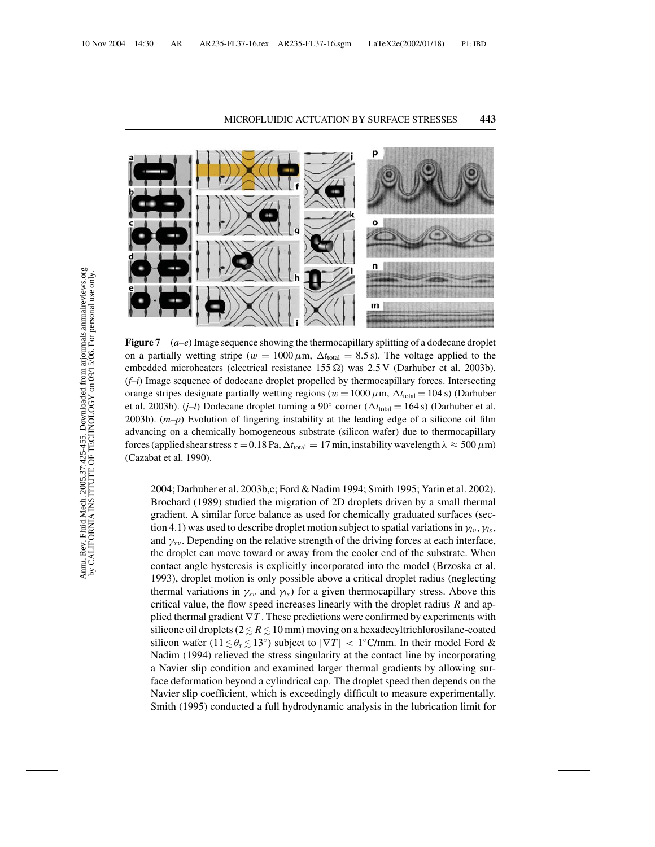

**Figure 7** (*a–e*) Image sequence showing the thermocapillary splitting of a dodecane droplet on a partially wetting stripe ( $w = 1000 \mu m$ ,  $\Delta t_{\text{total}} = 8.5 \text{ s}$ ). The voltage applied to the embedded microheaters (electrical resistance 155  $\Omega$ ) was 2.5 V (Darhuber et al. 2003b). (*f–i*) Image sequence of dodecane droplet propelled by thermocapillary forces. Intersecting orange stripes designate partially wetting regions ( $w = 1000 \,\mu$ m,  $\Delta t_{\text{total}} = 104 \,\text{s}$ ) (Darhuber et al. 2003b). (*j–l*) Dodecane droplet turning a 90 $^{\circ}$  corner ( $\Delta t_{\text{total}} = 164 \text{ s}$ ) (Darhuber et al. 2003b). (*m–p*) Evolution of fingering instability at the leading edge of a silicone oil film advancing on a chemically homogeneous substrate (silicon wafer) due to thermocapillary forces (applied shear stress  $\tau = 0.18$  Pa,  $\Delta t_{\text{total}} = 17$  min, instability wavelength  $\lambda \approx 500 \,\mu\text{m}$ ) (Cazabat et al. 1990).

2004; Darhuber et al. 2003b,c; Ford & Nadim 1994; Smith 1995; Yarin et al. 2002). Brochard (1989) studied the migration of 2D droplets driven by a small thermal gradient. A similar force balance as used for chemically graduated surfaces (section 4.1) was used to describe droplet motion subject to spatial variations in  $\gamma_l$ <sub>v</sub>,  $\gamma_l$ <sub>s</sub>, and  $\gamma_{sv}$ . Depending on the relative strength of the driving forces at each interface, the droplet can move toward or away from the cooler end of the substrate. When contact angle hysteresis is explicitly incorporated into the model (Brzoska et al. 1993), droplet motion is only possible above a critical droplet radius (neglecting thermal variations in  $\gamma_{sv}$  and  $\gamma_{ls}$ ) for a given thermocapillary stress. Above this critical value, the flow speed increases linearly with the droplet radius *R* and applied thermal gradient ∇*T* . These predictions were confirmed by experiments with silicone oil droplets ( $2 \le R \le 10$  mm) moving on a hexadecyltrichlorosilane-coated silicon wafer ( $11 \lesssim \theta_s \lesssim 13^\circ$ ) subject to  $|\nabla T| < 1^\circ \text{C/mm}$ . In their model Ford & Nadim (1994) relieved the stress singularity at the contact line by incorporating a Navier slip condition and examined larger thermal gradients by allowing surface deformation beyond a cylindrical cap. The droplet speed then depends on the Navier slip coefficient, which is exceedingly difficult to measure experimentally. Smith (1995) conducted a full hydrodynamic analysis in the lubrication limit for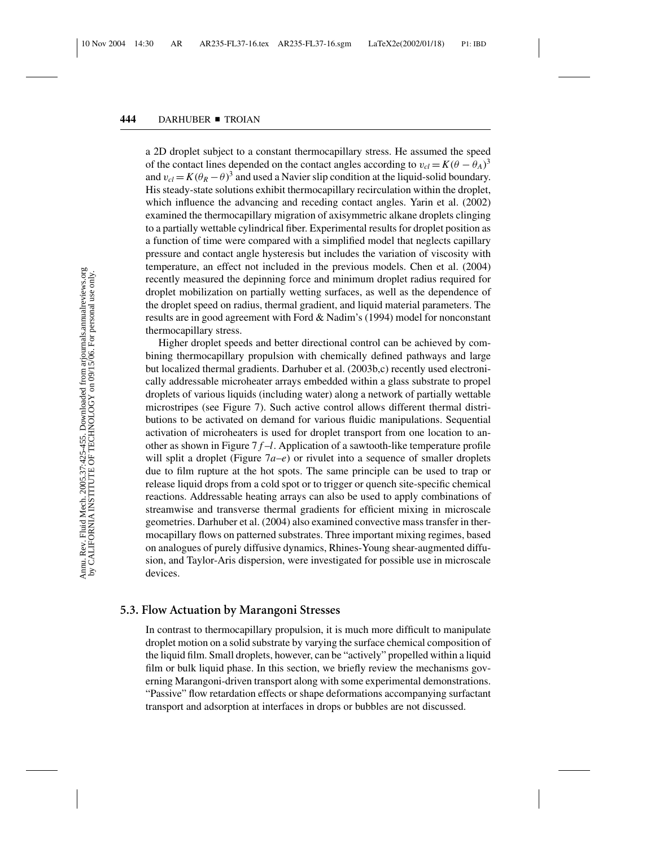a 2D droplet subject to a constant thermocapillary stress. He assumed the speed of the contact lines depended on the contact angles according to  $v_{cl} = K(\theta - \theta_A)^3$ and  $v_{cl} = K(\theta_R - \theta)^3$  and used a Navier slip condition at the liquid-solid boundary. His steady-state solutions exhibit thermocapillary recirculation within the droplet, which influence the advancing and receding contact angles. Yarin et al. (2002) examined the thermocapillary migration of axisymmetric alkane droplets clinging to a partially wettable cylindrical fiber. Experimental results for droplet position as a function of time were compared with a simplified model that neglects capillary pressure and contact angle hysteresis but includes the variation of viscosity with temperature, an effect not included in the previous models. Chen et al. (2004) recently measured the depinning force and minimum droplet radius required for droplet mobilization on partially wetting surfaces, as well as the dependence of the droplet speed on radius, thermal gradient, and liquid material parameters. The results are in good agreement with Ford & Nadim's (1994) model for nonconstant thermocapillary stress.

Higher droplet speeds and better directional control can be achieved by combining thermocapillary propulsion with chemically defined pathways and large but localized thermal gradients. Darhuber et al. (2003b,c) recently used electronically addressable microheater arrays embedded within a glass substrate to propel droplets of various liquids (including water) along a network of partially wettable microstripes (see Figure 7). Such active control allows different thermal distributions to be activated on demand for various fluidic manipulations. Sequential activation of microheaters is used for droplet transport from one location to another as shown in Figure 7 *f* –*l*. Application of a sawtooth-like temperature profile will split a droplet (Figure  $7a-e$ ) or rivulet into a sequence of smaller droplets due to film rupture at the hot spots. The same principle can be used to trap or release liquid drops from a cold spot or to trigger or quench site-specific chemical reactions. Addressable heating arrays can also be used to apply combinations of streamwise and transverse thermal gradients for efficient mixing in microscale geometries. Darhuber et al. (2004) also examined convective mass transfer in thermocapillary flows on patterned substrates. Three important mixing regimes, based on analogues of purely diffusive dynamics, Rhines-Young shear-augmented diffusion, and Taylor-Aris dispersion, were investigated for possible use in microscale devices.

## **5.3. Flow Actuation by Marangoni Stresses**

In contrast to thermocapillary propulsion, it is much more difficult to manipulate droplet motion on a solid substrate by varying the surface chemical composition of the liquid film. Small droplets, however, can be "actively" propelled within a liquid film or bulk liquid phase. In this section, we briefly review the mechanisms governing Marangoni-driven transport along with some experimental demonstrations. "Passive" flow retardation effects or shape deformations accompanying surfactant transport and adsorption at interfaces in drops or bubbles are not discussed.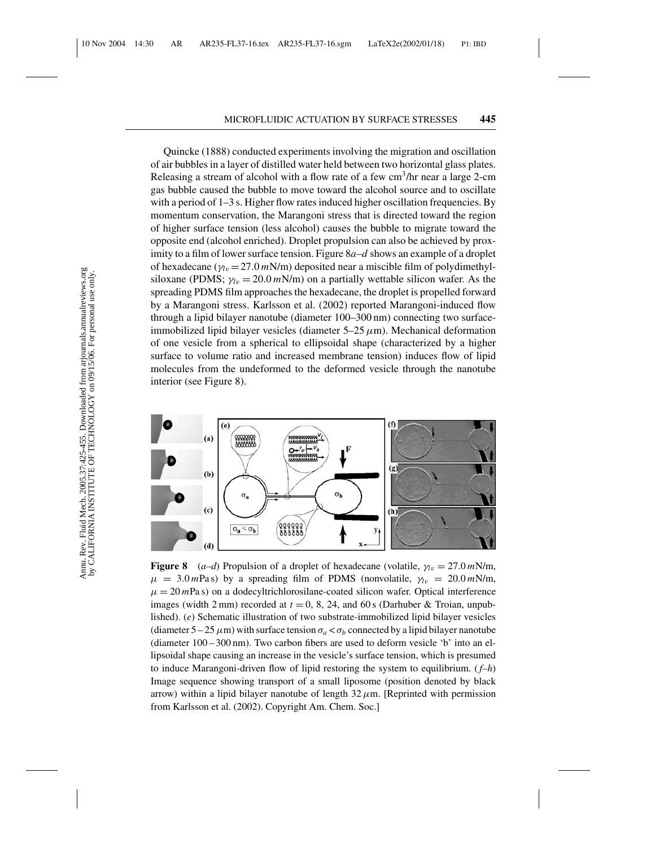Quincke (1888) conducted experiments involving the migration and oscillation of air bubbles in a layer of distilled water held between two horizontal glass plates. Releasing a stream of alcohol with a flow rate of a few  $cm<sup>3</sup>/hr$  near a large 2-cm gas bubble caused the bubble to move toward the alcohol source and to oscillate with a period of 1–3 s. Higher flow rates induced higher oscillation frequencies. By momentum conservation, the Marangoni stress that is directed toward the region of higher surface tension (less alcohol) causes the bubble to migrate toward the opposite end (alcohol enriched). Droplet propulsion can also be achieved by proximity to a film of lower surface tension. Figure 8*a*–*d* shows an example of a droplet of hexadecane  $(\gamma_{lv} = 27.0 \text{ mN/m})$  deposited near a miscible film of polydimethylsiloxane (PDMS;  $\gamma_{lv} = 20.0 \, \text{mN/m}$ ) on a partially wettable silicon wafer. As the spreading PDMS film approaches the hexadecane, the droplet is propelled forward by a Marangoni stress. Karlsson et al. (2002) reported Marangoni-induced flow through a lipid bilayer nanotube (diameter 100–300 nm) connecting two surfaceimmobilized lipid bilayer vesicles (diameter  $5-25 \mu$ m). Mechanical deformation of one vesicle from a spherical to ellipsoidal shape (characterized by a higher surface to volume ratio and increased membrane tension) induces flow of lipid molecules from the undeformed to the deformed vesicle through the nanotube interior (see Figure 8).



**Figure 8** (*a–d*) Propulsion of a droplet of hexadecane (volatile,  $\gamma_{lv} = 27.0 \text{ mN/m}$ ,  $\mu = 3.0 \text{ mPa s}$ ) by a spreading film of PDMS (nonvolatile,  $\gamma_{lv} = 20.0 \text{ mN/m}$ ,  $\mu = 20$  mPa s) on a dodecyltrichlorosilane-coated silicon wafer. Optical interference images (width 2 mm) recorded at  $t = 0$ , 8, 24, and 60 s (Darhuber & Troian, unpublished). (*e*) Schematic illustration of two substrate-immobilized lipid bilayer vesicles (diameter  $5-25 \mu m$ ) with surface tension  $\sigma_a < \sigma_b$  connected by a lipid bilayer nanotube (diameter 100 – 300 nm). Two carbon fibers are used to deform vesicle 'b' into an ellipsoidal shape causing an increase in the vesicle's surface tension, which is presumed to induce Marangoni-driven flow of lipid restoring the system to equilibrium. ( *f–h*) Image sequence showing transport of a small liposome (position denoted by black arrow) within a lipid bilayer nanotube of length  $32 \mu$ m. [Reprinted with permission from Karlsson et al. (2002). Copyright Am. Chem. Soc.]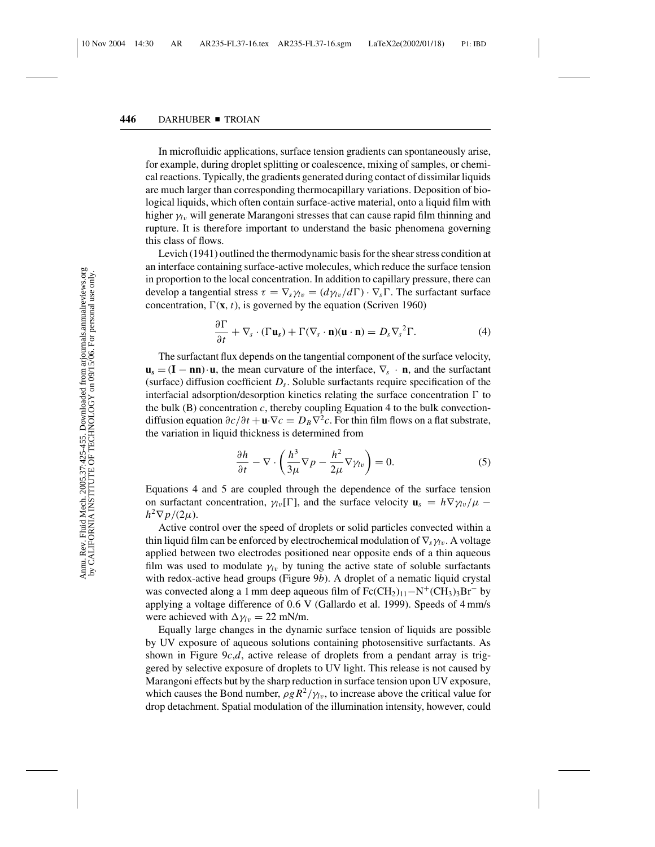In microfluidic applications, surface tension gradients can spontaneously arise, for example, during droplet splitting or coalescence, mixing of samples, or chemical reactions. Typically, the gradients generated during contact of dissimilar liquids are much larger than corresponding thermocapillary variations. Deposition of biological liquids, which often contain surface-active material, onto a liquid film with higher γ*<sup>l</sup>*<sup>v</sup> will generate Marangoni stresses that can cause rapid film thinning and rupture. It is therefore important to understand the basic phenomena governing this class of flows.

Levich (1941) outlined the thermodynamic basis for the shear stress condition at an interface containing surface-active molecules, which reduce the surface tension in proportion to the local concentration. In addition to capillary pressure, there can develop a tangential stress  $\tau = \nabla_s \gamma_{lv} = (d\gamma_{lv}/d\Gamma) \cdot \nabla_s \Gamma$ . The surfactant surface concentration,  $\Gamma(x, t)$ , is governed by the equation (Scriven 1960)

$$
\frac{\partial \Gamma}{\partial t} + \nabla_s \cdot (\Gamma \mathbf{u}_s) + \Gamma (\nabla_s \cdot \mathbf{n}) (\mathbf{u} \cdot \mathbf{n}) = D_s \nabla_s^2 \Gamma. \tag{4}
$$

The surfactant flux depends on the tangential component of the surface velocity,  $\mathbf{u}_s = (\mathbf{I} - \mathbf{n}\mathbf{n}) \cdot \mathbf{u}$ , the mean curvature of the interface,  $\nabla_s \cdot \mathbf{n}$ , and the surfactant (surface) diffusion coefficient *Ds*. Soluble surfactants require specification of the interfacial adsorption/desorption kinetics relating the surface concentration  $\Gamma$  to the bulk (B) concentration  $c$ , thereby coupling Equation 4 to the bulk convectiondiffusion equation  $\partial c/\partial t + \mathbf{u} \cdot \nabla c = D_B \nabla^2 c$ . For thin film flows on a flat substrate, the variation in liquid thickness is determined from

$$
\frac{\partial h}{\partial t} - \nabla \cdot \left( \frac{h^3}{3\mu} \nabla p - \frac{h^2}{2\mu} \nabla \gamma_{lv} \right) = 0. \tag{5}
$$

Equations 4 and 5 are coupled through the dependence of the surface tension on surfactant concentration,  $\gamma_{lv}[\Gamma]$ , and the surface velocity  $\mathbf{u}_s = h \nabla \gamma_{lv} / \mu$  −  $h^2 \nabla p/(2\mu)$ .

Active control over the speed of droplets or solid particles convected within a thin liquid film can be enforced by electrochemical modulation of  $\nabla_s \gamma_v$ . A voltage applied between two electrodes positioned near opposite ends of a thin aqueous film was used to modulate  $\gamma_l$  by tuning the active state of soluble surfactants with redox-active head groups (Figure 9*b*). A droplet of a nematic liquid crystal was convected along a 1 mm deep aqueous film of  $Fc(CH_2)_{11}-N^+(CH_3)_{3}Br^-$  by applying a voltage difference of 0.6 V (Gallardo et al. 1999). Speeds of 4 mm/s were achieved with  $\Delta \gamma_{lv} = 22$  mN/m.

Equally large changes in the dynamic surface tension of liquids are possible by UV exposure of aqueous solutions containing photosensitive surfactants. As shown in Figure 9*c*,*d*, active release of droplets from a pendant array is triggered by selective exposure of droplets to UV light. This release is not caused by Marangoni effects but by the sharp reduction in surface tension upon UV exposure, which causes the Bond number,  $\rho g R^2/\gamma_l v$ , to increase above the critical value for drop detachment. Spatial modulation of the illumination intensity, however, could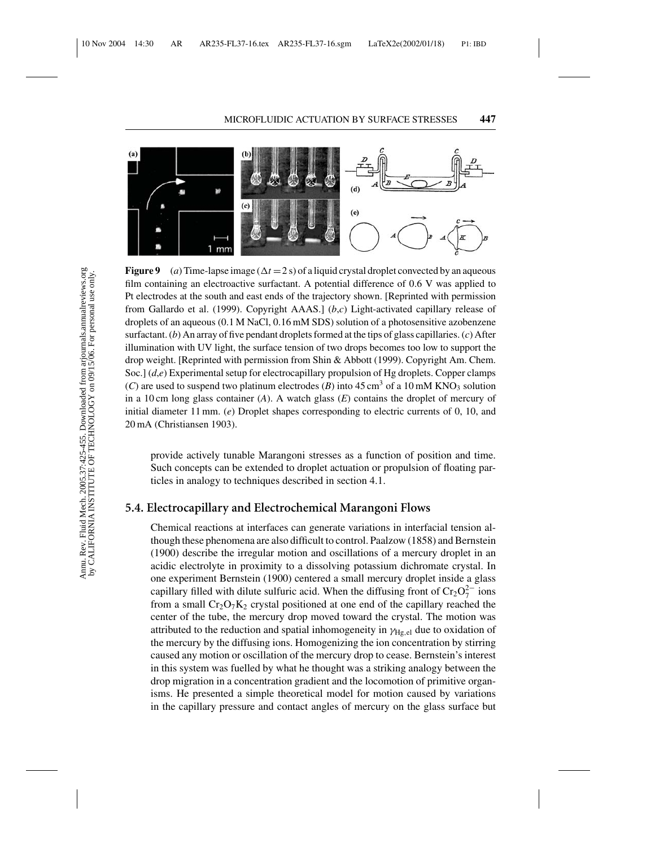

**Figure 9** (a) Time-lapse image  $(\Delta t = 2 s)$  of a liquid crystal droplet convected by an aqueous film containing an electroactive surfactant. A potential difference of  $0.6$  V was applied to Pt electrodes at the south and east ends of the trajectory shown. [Reprinted with permission from Gallardo et al. (1999). Copyright AAAS.] (*b*,*c*) Light-activated capillary release of droplets of an aqueous (0.1 M NaCl, 0.16 mM SDS) solution of a photosensitive azobenzene surfactant. (*b*) An array of five pendant droplets formed at the tips of glass capillaries. (*c*) After illumination with UV light, the surface tension of two drops becomes too low to support the drop weight. [Reprinted with permission from Shin & Abbott (1999). Copyright Am. Chem. Soc.] (*d,e*) Experimental setup for electrocapillary propulsion of Hg droplets. Copper clamps (*C*) are used to suspend two platinum electrodes (*B*) into  $45 \text{ cm}^3$  of a 10 mM KNO<sub>3</sub> solution in a 10 cm long glass container (*A*). A watch glass (*E*) contains the droplet of mercury of initial diameter 11 mm. (*e*) Droplet shapes corresponding to electric currents of 0, 10, and 20 mA (Christiansen 1903).

provide actively tunable Marangoni stresses as a function of position and time. Such concepts can be extended to droplet actuation or propulsion of floating particles in analogy to techniques described in section 4.1.

## **5.4. Electrocapillary and Electrochemical Marangoni Flows**

Chemical reactions at interfaces can generate variations in interfacial tension although these phenomena are also difficult to control. Paalzow (1858) and Bernstein (1900) describe the irregular motion and oscillations of a mercury droplet in an acidic electrolyte in proximity to a dissolving potassium dichromate crystal. In one experiment Bernstein (1900) centered a small mercury droplet inside a glass capillary filled with dilute sulfuric acid. When the diffusing front of  $Cr_2O_7^{2-}$  ions from a small  $Cr_2O_7K_2$  crystal positioned at one end of the capillary reached the center of the tube, the mercury drop moved toward the crystal. The motion was attributed to the reduction and spatial inhomogeneity in  $\gamma_{Hg,el}$  due to oxidation of the mercury by the diffusing ions. Homogenizing the ion concentration by stirring caused any motion or oscillation of the mercury drop to cease. Bernstein's interest in this system was fuelled by what he thought was a striking analogy between the drop migration in a concentration gradient and the locomotion of primitive organisms. He presented a simple theoretical model for motion caused by variations in the capillary pressure and contact angles of mercury on the glass surface but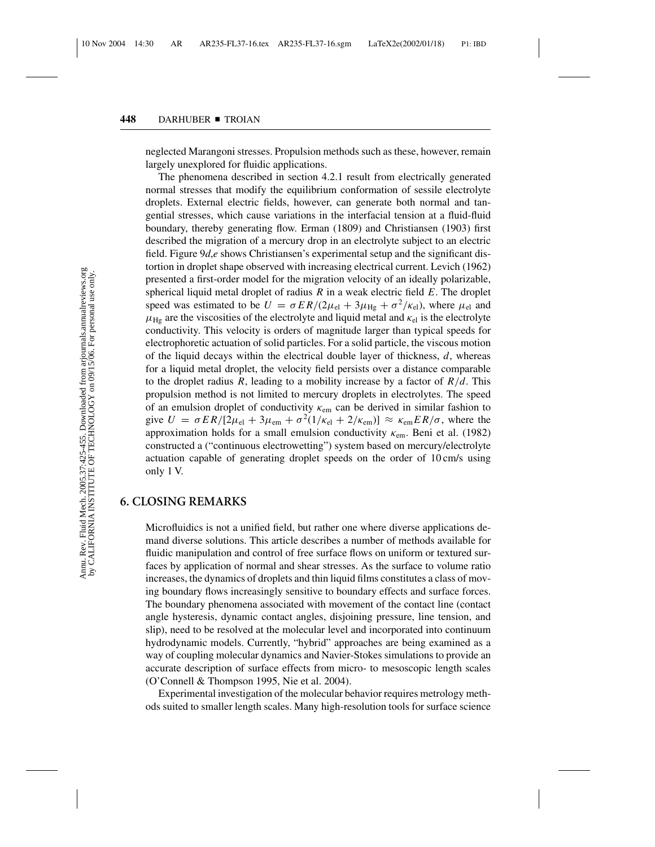neglected Marangoni stresses. Propulsion methods such as these, however, remain largely unexplored for fluidic applications.

The phenomena described in section 4.2.1 result from electrically generated normal stresses that modify the equilibrium conformation of sessile electrolyte droplets. External electric fields, however, can generate both normal and tangential stresses, which cause variations in the interfacial tension at a fluid-fluid boundary, thereby generating flow. Erman (1809) and Christiansen (1903) first described the migration of a mercury drop in an electrolyte subject to an electric field. Figure 9*d*,*e* shows Christiansen's experimental setup and the significant distortion in droplet shape observed with increasing electrical current. Levich (1962) presented a first-order model for the migration velocity of an ideally polarizable, spherical liquid metal droplet of radius *R* in a weak electric field *E*. The droplet speed was estimated to be  $U = \sigma E R/(2\mu_{\rm el} + 3\mu_{\rm He} + \sigma^2/\kappa_{\rm el})$ , where  $\mu_{\rm el}$  and  $\mu_{\text{Hg}}$  are the viscosities of the electrolyte and liquid metal and  $\kappa_{\text{el}}$  is the electrolyte conductivity. This velocity is orders of magnitude larger than typical speeds for electrophoretic actuation of solid particles. For a solid particle, the viscous motion of the liquid decays within the electrical double layer of thickness, *d*, whereas for a liquid metal droplet, the velocity field persists over a distance comparable to the droplet radius *R*, leading to a mobility increase by a factor of  $R/d$ . This propulsion method is not limited to mercury droplets in electrolytes. The speed of an emulsion droplet of conductivity  $\kappa_{em}$  can be derived in similar fashion to give  $U = \sigma ER/[2\mu_{el} + 3\mu_{em} + \sigma^2(1/\kappa_{el} + 2/\kappa_{em})] \approx \kappa_{em} ER/\sigma$ , where the approximation holds for a small emulsion conductivity  $\kappa_{em}$ . Beni et al. (1982) constructed a ("continuous electrowetting") system based on mercury/electrolyte actuation capable of generating droplet speeds on the order of 10 cm/s using only 1 V.

## **6. CLOSING REMARKS**

Microfluidics is not a unified field, but rather one where diverse applications demand diverse solutions. This article describes a number of methods available for fluidic manipulation and control of free surface flows on uniform or textured surfaces by application of normal and shear stresses. As the surface to volume ratio increases, the dynamics of droplets and thin liquid films constitutes a class of moving boundary flows increasingly sensitive to boundary effects and surface forces. The boundary phenomena associated with movement of the contact line (contact angle hysteresis, dynamic contact angles, disjoining pressure, line tension, and slip), need to be resolved at the molecular level and incorporated into continuum hydrodynamic models. Currently, "hybrid" approaches are being examined as a way of coupling molecular dynamics and Navier-Stokes simulations to provide an accurate description of surface effects from micro- to mesoscopic length scales (O'Connell & Thompson 1995, Nie et al. 2004).

Experimental investigation of the molecular behavior requires metrology methods suited to smaller length scales. Many high-resolution tools for surface science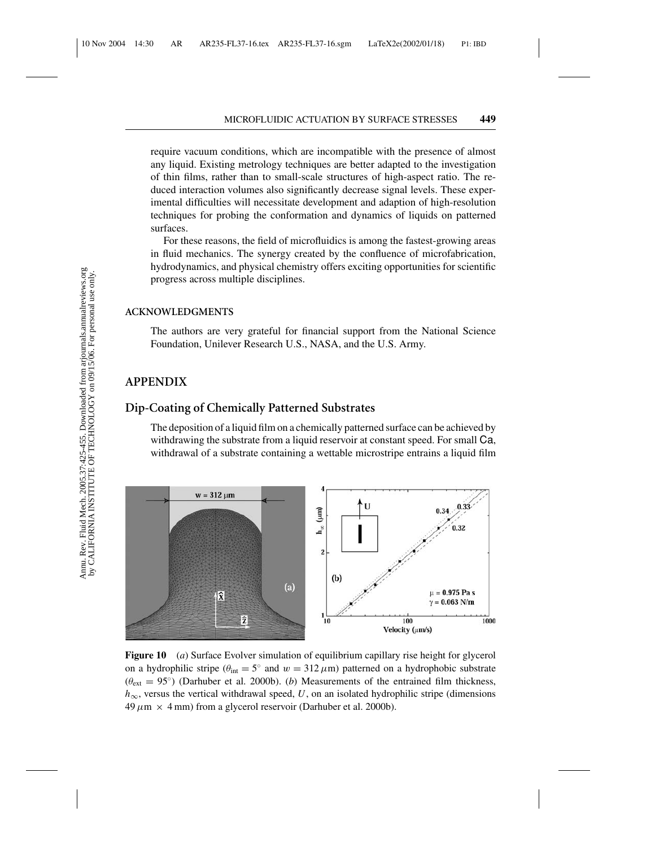require vacuum conditions, which are incompatible with the presence of almost any liquid. Existing metrology techniques are better adapted to the investigation of thin films, rather than to small-scale structures of high-aspect ratio. The reduced interaction volumes also significantly decrease signal levels. These experimental difficulties will necessitate development and adaption of high-resolution techniques for probing the conformation and dynamics of liquids on patterned surfaces.

For these reasons, the field of microfluidics is among the fastest-growing areas in fluid mechanics. The synergy created by the confluence of microfabrication, hydrodynamics, and physical chemistry offers exciting opportunities for scientific progress across multiple disciplines.

#### **ACKNOWLEDGMENTS**

The authors are very grateful for financial support from the National Science Foundation, Unilever Research U.S., NASA, and the U.S. Army.

### **APPENDIX**

# **Dip-Coating of Chemically Patterned Substrates**

The deposition of a liquid film on a chemically patterned surface can be achieved by withdrawing the substrate from a liquid reservoir at constant speed. For small Ca, withdrawal of a substrate containing a wettable microstripe entrains a liquid film



**Figure 10** (*a*) Surface Evolver simulation of equilibrium capillary rise height for glycerol on a hydrophilic stripe ( $\theta_{\text{int}} = 5^{\circ}$  and  $w = 312 \,\mu\text{m}$ ) patterned on a hydrophobic substrate  $(\theta_{ext} = 95^{\circ})$  (Darhuber et al. 2000b). (*b*) Measurements of the entrained film thickness, *h*∞, versus the vertical withdrawal speed, *U*, on an isolated hydrophilic stripe (dimensions  $49 \mu m \times 4 \text{ mm}$  from a glycerol reservoir (Darhuber et al. 2000b).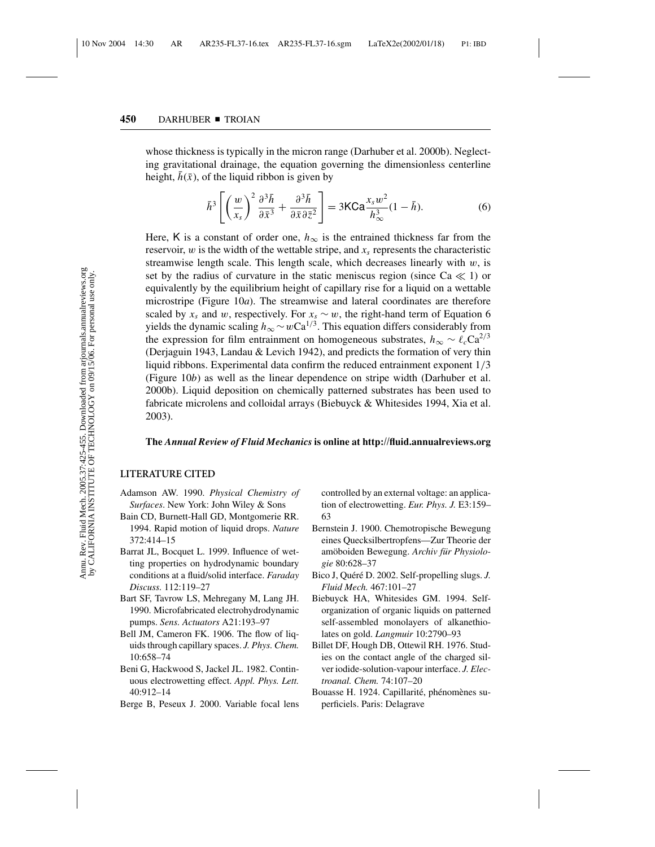whose thickness is typically in the micron range (Darhuber et al. 2000b). Neglecting gravitational drainage, the equation governing the dimensionless centerline height,  $h(\bar{x})$ , of the liquid ribbon is given by

$$
\bar{h}^3 \left[ \left( \frac{w}{x_s} \right)^2 \frac{\partial^3 \bar{h}}{\partial \bar{x}^3} + \frac{\partial^3 \bar{h}}{\partial \bar{x} \partial \bar{z}^2} \right] = 3\text{KCa} \frac{x_s w^2}{h^3_\infty} (1 - \bar{h}).\tag{6}
$$

Here, K is a constant of order one,  $h_{\infty}$  is the entrained thickness far from the reservoir, w is the width of the wettable stripe, and *xs* represents the characteristic streamwise length scale. This length scale, which decreases linearly with  $w$ , is set by the radius of curvature in the static meniscus region (since  $Ca \ll 1$ ) or equivalently by the equilibrium height of capillary rise for a liquid on a wettable microstripe (Figure 10*a*). The streamwise and lateral coordinates are therefore scaled by  $x_s$  and w, respectively. For  $x_s \sim w$ , the right-hand term of Equation 6 yields the dynamic scaling  $h_{\infty} \sim wCa^{1/3}$ . This equation differs considerably from the expression for film entrainment on homogeneous substrates,  $h_{\infty} \sim \ell_c \text{Ca}^{2/3}$ (Derjaguin 1943, Landau & Levich 1942), and predicts the formation of very thin liquid ribbons. Experimental data confirm the reduced entrainment exponent 1/3 (Figure 10*b*) as well as the linear dependence on stripe width (Darhuber et al. 2000b). Liquid deposition on chemically patterned substrates has been used to fabricate microlens and colloidal arrays (Biebuyck & Whitesides 1994, Xia et al. 2003).

#### **The** *Annual Review of Fluid Mechanics* **is online at http://fluid.annualreviews.org**

#### **LITERATURE CITED**

- Adamson AW. 1990. *Physical Chemistry of Surfaces*. New York: John Wiley & Sons
- Bain CD, Burnett-Hall GD, Montgomerie RR. 1994. Rapid motion of liquid drops. *Nature* 372:414–15
- Barrat JL, Bocquet L. 1999. Influence of wetting properties on hydrodynamic boundary conditions at a fluid/solid interface. *Faraday Discuss.* 112:119–27
- Bart SF, Tavrow LS, Mehregany M, Lang JH. 1990. Microfabricated electrohydrodynamic pumps. *Sens. Actuators* A21:193–97
- Bell JM, Cameron FK. 1906. The flow of liquids through capillary spaces. *J. Phys. Chem.* 10:658–74
- Beni G, Hackwood S, Jackel JL. 1982. Continuous electrowetting effect. *Appl. Phys. Lett.* 40:912–14
- Berge B, Peseux J. 2000. Variable focal lens

controlled by an external voltage: an application of electrowetting. *Eur. Phys. J.* E3:159– 63

- Bernstein J. 1900. Chemotropische Bewegung eines Quecksilbertropfens—Zur Theorie der am¨oboiden Bewegung. *Archiv fur Physiolo- ¨ gie* 80:628–37
- Bico J, Quéré D. 2002. Self-propelling slugs. *J*. *Fluid Mech.* 467:101–27
- Biebuyck HA, Whitesides GM. 1994. Selforganization of organic liquids on patterned self-assembled monolayers of alkanethiolates on gold. *Langmuir* 10:2790–93
- Billet DF, Hough DB, Ottewil RH. 1976. Studies on the contact angle of the charged silver iodide-solution-vapour interface. *J. Electroanal. Chem.* 74:107–20
- Bouasse H. 1924. Capillarité, phénomènes superficiels. Paris: Delagrave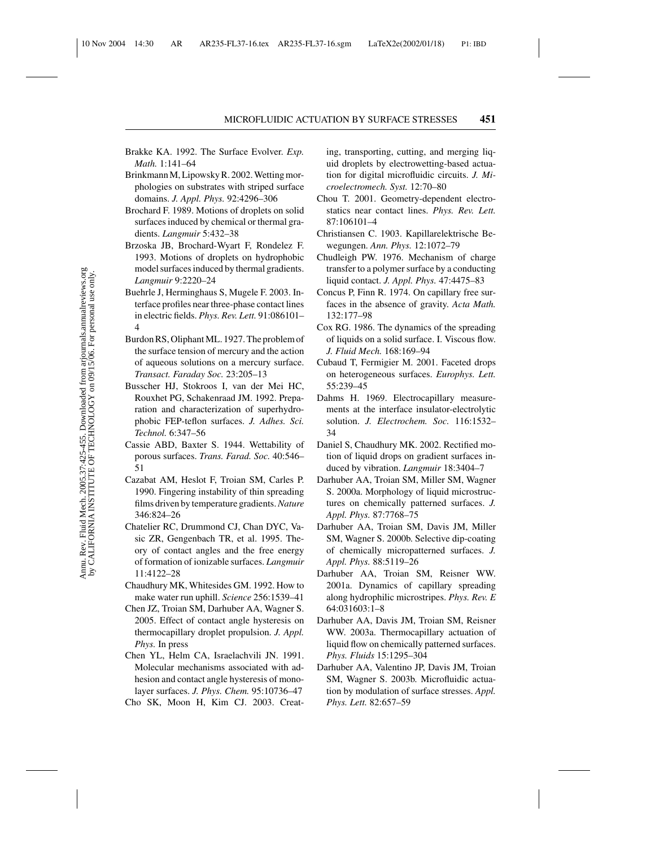- Brakke KA. 1992. The Surface Evolver. *Exp. Math.* 1:141–64
- Brinkmann M, Lipowsky R. 2002. Wetting morphologies on substrates with striped surface domains. *J. Appl. Phys.* 92:4296–306
- Brochard F. 1989. Motions of droplets on solid surfaces induced by chemical or thermal gradients. *Langmuir* 5:432–38
- Brzoska JB, Brochard-Wyart F, Rondelez F. 1993. Motions of droplets on hydrophobic model surfaces induced by thermal gradients. *Langmuir* 9:2220–24
- Buehrle J, Herminghaus S, Mugele F. 2003. Interface profiles near three-phase contact lines in electric fields. *Phys. Rev. Lett.* 91:086101– 4
- Burdon RS, Oliphant ML. 1927. The problem of the surface tension of mercury and the action of aqueous solutions on a mercury surface. *Transact. Faraday Soc.* 23:205–13
- Busscher HJ, Stokroos I, van der Mei HC, Rouxhet PG, Schakenraad JM. 1992. Preparation and characterization of superhydrophobic FEP-teflon surfaces. *J. Adhes. Sci. Technol.* 6:347–56
- Cassie ABD, Baxter S. 1944. Wettability of porous surfaces. *Trans. Farad. Soc.* 40:546– 51
- Cazabat AM, Heslot F, Troian SM, Carles P. 1990. Fingering instability of thin spreading films driven by temperature gradients.*Nature* 346:824–26
- Chatelier RC, Drummond CJ, Chan DYC, Vasic ZR, Gengenbach TR, et al. 1995. Theory of contact angles and the free energy of formation of ionizable surfaces. *Langmuir* 11:4122–28
- Chaudhury MK, Whitesides GM. 1992. How to make water run uphill. *Science* 256:1539–41
- Chen JZ, Troian SM, Darhuber AA, Wagner S. 2005. Effect of contact angle hysteresis on thermocapillary droplet propulsion. *J. Appl. Phys.* In press
- Chen YL, Helm CA, Israelachvili JN. 1991. Molecular mechanisms associated with adhesion and contact angle hysteresis of monolayer surfaces. *J. Phys. Chem.* 95:10736–47
- Cho SK, Moon H, Kim CJ. 2003. Creat-

ing, transporting, cutting, and merging liquid droplets by electrowetting-based actuation for digital microfluidic circuits. *J. Microelectromech. Syst.* 12:70–80

- Chou T. 2001. Geometry-dependent electrostatics near contact lines. *Phys. Rev. Lett.* 87:106101–4
- Christiansen C. 1903. Kapillarelektrische Bewegungen. *Ann. Phys.* 12:1072–79
- Chudleigh PW. 1976. Mechanism of charge transfer to a polymer surface by a conducting liquid contact. *J. Appl. Phys.* 47:4475–83
- Concus P, Finn R. 1974. On capillary free surfaces in the absence of gravity. *Acta Math.* 132:177–98
- Cox RG. 1986. The dynamics of the spreading of liquids on a solid surface. I. Viscous flow. *J. Fluid Mech.* 168:169–94
- Cubaud T, Fermigier M. 2001. Faceted drops on heterogeneous surfaces. *Europhys. Lett.* 55:239–45
- Dahms H. 1969. Electrocapillary measurements at the interface insulator-electrolytic solution. *J. Electrochem. Soc.* 116:1532– 34
- Daniel S, Chaudhury MK. 2002. Rectified motion of liquid drops on gradient surfaces induced by vibration. *Langmuir* 18:3404–7
- Darhuber AA, Troian SM, Miller SM, Wagner S. 2000a. Morphology of liquid microstructures on chemically patterned surfaces. *J. Appl. Phys.* 87:7768–75
- Darhuber AA, Troian SM, Davis JM, Miller SM, Wagner S. 2000b. Selective dip-coating of chemically micropatterned surfaces. *J. Appl. Phys.* 88:5119–26
- Darhuber AA, Troian SM, Reisner WW. 2001a. Dynamics of capillary spreading along hydrophilic microstripes. *Phys. Rev. E* 64:031603:1–8
- Darhuber AA, Davis JM, Troian SM, Reisner WW. 2003a. Thermocapillary actuation of liquid flow on chemically patterned surfaces. *Phys. Fluids* 15:1295–304
- Darhuber AA, Valentino JP, Davis JM, Troian SM, Wagner S. 2003b. Microfluidic actuation by modulation of surface stresses. *Appl. Phys. Lett.* 82:657–59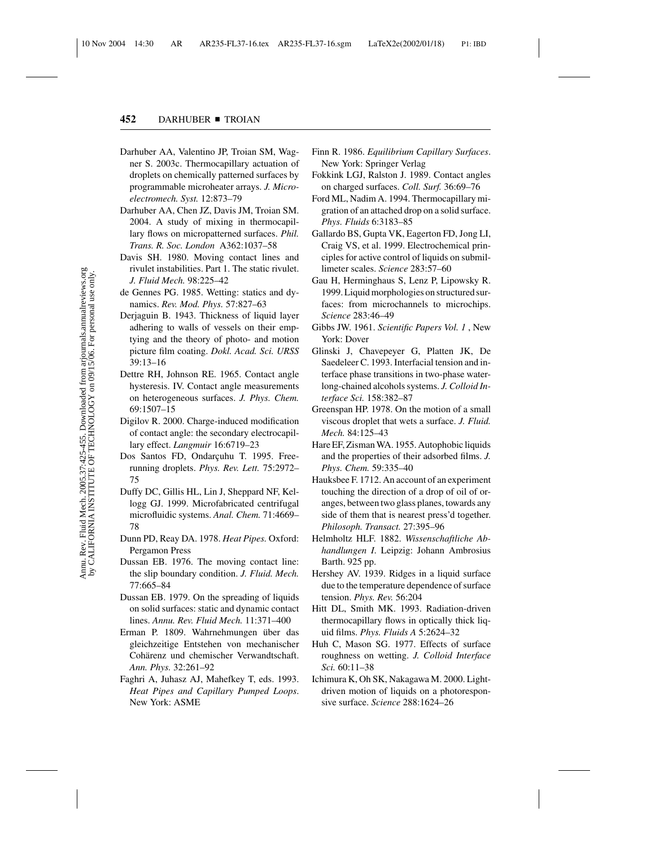- Darhuber AA, Valentino JP, Troian SM, Wagner S. 2003c. Thermocapillary actuation of droplets on chemically patterned surfaces by programmable microheater arrays. *J. Microelectromech. Syst.* 12:873–79
- Darhuber AA, Chen JZ, Davis JM, Troian SM. 2004. A study of mixing in thermocapillary flows on micropatterned surfaces. *Phil. Trans. R. Soc. London* A362:1037–58
- Davis SH. 1980. Moving contact lines and rivulet instabilities. Part 1. The static rivulet. *J. Fluid Mech.* 98:225–42
- de Gennes PG. 1985. Wetting: statics and dynamics. *Rev. Mod. Phys.* 57:827–63
- Derjaguin B. 1943. Thickness of liquid layer adhering to walls of vessels on their emptying and the theory of photo- and motion picture film coating. *Dokl. Acad. Sci. URSS* 39:13–16
- Dettre RH, Johnson RE. 1965. Contact angle hysteresis. IV. Contact angle measurements on heterogeneous surfaces. *J. Phys. Chem.* 69:1507–15
- Digilov R. 2000. Charge-induced modification of contact angle: the secondary electrocapillary effect. *Langmuir* 16:6719–23
- Dos Santos FD, Ondarçuhu T. 1995. Freerunning droplets. *Phys. Rev. Lett.* 75:2972– 75
- Duffy DC, Gillis HL, Lin J, Sheppard NF, Kellogg GJ. 1999. Microfabricated centrifugal microfluidic systems. *Anal. Chem.* 71:4669– 78
- Dunn PD, Reay DA. 1978. *Heat Pipes.* Oxford: Pergamon Press
- Dussan EB. 1976. The moving contact line: the slip boundary condition. *J. Fluid. Mech.* 77:665–84
- Dussan EB. 1979. On the spreading of liquids on solid surfaces: static and dynamic contact lines. *Annu. Rev. Fluid Mech.* 11:371–400
- Erman P. 1809. Wahrnehmungen über das gleichzeitige Entstehen von mechanischer Cohärenz und chemischer Verwandtschaft. *Ann. Phys.* 32:261–92
- Faghri A, Juhasz AJ, Mahefkey T, eds. 1993. *Heat Pipes and Capillary Pumped Loops*. New York: ASME
- Finn R. 1986. *Equilibrium Capillary Surfaces*. New York: Springer Verlag
- Fokkink LGJ, Ralston J. 1989. Contact angles on charged surfaces. *Coll. Surf.* 36:69–76
- Ford ML, Nadim A. 1994. Thermocapillary migration of an attached drop on a solid surface. *Phys. Fluids* 6:3183–85
- Gallardo BS, Gupta VK, Eagerton FD, Jong LI, Craig VS, et al. 1999. Electrochemical principles for active control of liquids on submillimeter scales. *Science* 283:57–60
- Gau H, Herminghaus S, Lenz P, Lipowsky R. 1999. Liquid morphologies on structured surfaces: from microchannels to microchips. *Science* 283:46–49
- Gibbs JW. 1961. *Scientific Papers Vol. 1* , New York: Dover
- Glinski J, Chavepeyer G, Platten JK, De Saedeleer C. 1993. Interfacial tension and interface phase transitions in two-phase waterlong-chained alcohols systems. *J. Colloid Interface Sci.* 158:382–87
- Greenspan HP. 1978. On the motion of a small viscous droplet that wets a surface. *J. Fluid. Mech.* 84:125–43
- Hare EF, Zisman WA. 1955. Autophobic liquids and the properties of their adsorbed films. *J. Phys. Chem.* 59:335–40
- Hauksbee F. 1712. An account of an experiment touching the direction of a drop of oil of oranges, between two glass planes, towards any side of them that is nearest press'd together. *Philosoph. Transact.* 27:395–96
- Helmholtz HLF. 1882. *Wissenschaftliche Abhandlungen I*. Leipzig: Johann Ambrosius Barth. 925 pp.
- Hershey AV. 1939. Ridges in a liquid surface due to the temperature dependence of surface tension. *Phys. Rev.* 56:204
- Hitt DL, Smith MK. 1993. Radiation-driven thermocapillary flows in optically thick liquid films. *Phys. Fluids A* 5:2624–32
- Huh C, Mason SG. 1977. Effects of surface roughness on wetting. *J. Colloid Interface Sci.* 60:11–38
- Ichimura K, Oh SK, Nakagawa M. 2000. Lightdriven motion of liquids on a photoresponsive surface. *Science* 288:1624–26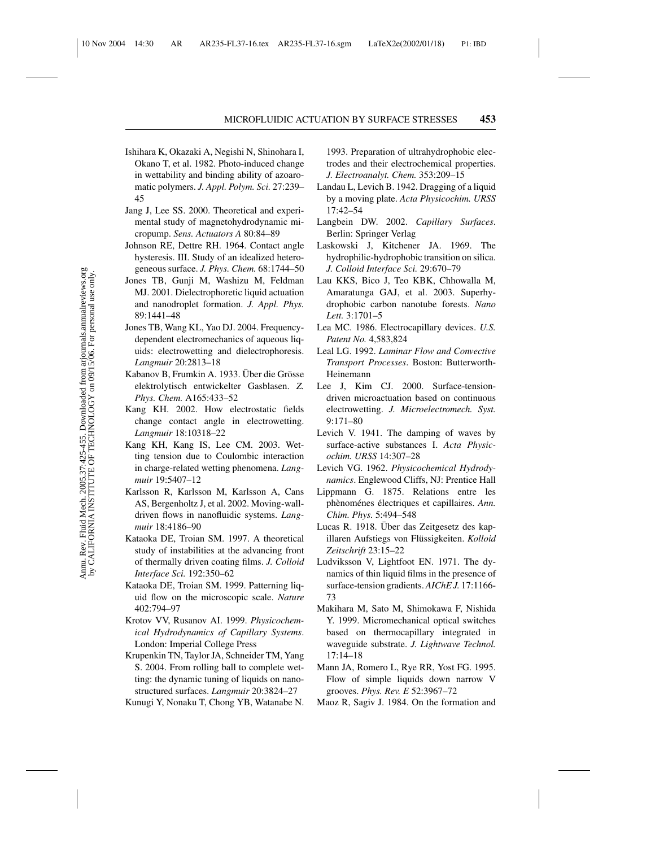- Ishihara K, Okazaki A, Negishi N, Shinohara I, Okano T, et al. 1982. Photo-induced change in wettability and binding ability of azoaromatic polymers. *J. Appl. Polym. Sci.* 27:239– 45
- Jang J, Lee SS. 2000. Theoretical and experimental study of magnetohydrodynamic micropump. *Sens. Actuators A* 80:84–89
- Johnson RE, Dettre RH. 1964. Contact angle hysteresis. III. Study of an idealized heterogeneous surface. *J. Phys. Chem.* 68:1744–50
- Jones TB, Gunji M, Washizu M, Feldman MJ. 2001. Dielectrophoretic liquid actuation and nanodroplet formation. *J. Appl. Phys.* 89:1441–48
- Jones TB, Wang KL, Yao DJ. 2004. Frequencydependent electromechanics of aqueous liquids: electrowetting and dielectrophoresis. *Langmuir* 20:2813–18
- Kabanov B, Frumkin A, 1933. Uber die Grösse elektrolytisch entwickelter Gasblasen. *Z. Phys. Chem.* A165:433–52
- Kang KH. 2002. How electrostatic fields change contact angle in electrowetting. *Langmuir* 18:10318–22
- Kang KH, Kang IS, Lee CM. 2003. Wetting tension due to Coulombic interaction in charge-related wetting phenomena. *Langmuir* 19:5407–12
- Karlsson R, Karlsson M, Karlsson A, Cans AS, Bergenholtz J, et al. 2002. Moving-walldriven flows in nanofluidic systems. *Langmuir* 18:4186–90
- Kataoka DE, Troian SM. 1997. A theoretical study of instabilities at the advancing front of thermally driven coating films. *J. Colloid Interface Sci.* 192:350–62
- Kataoka DE, Troian SM. 1999. Patterning liquid flow on the microscopic scale. *Nature* 402:794–97
- Krotov VV, Rusanov AI. 1999. *Physicochemical Hydrodynamics of Capillary Systems*. London: Imperial College Press
- Krupenkin TN, Taylor JA, Schneider TM, Yang S. 2004. From rolling ball to complete wetting: the dynamic tuning of liquids on nanostructured surfaces. *Langmuir* 20:3824–27
- Kunugi Y, Nonaku T, Chong YB, Watanabe N.

1993. Preparation of ultrahydrophobic electrodes and their electrochemical properties. *J. Electroanalyt. Chem.* 353:209–15

- Landau L, Levich B. 1942. Dragging of a liquid by a moving plate. *Acta Physicochim. URSS* 17:42–54
- Langbein DW. 2002. *Capillary Surfaces*. Berlin: Springer Verlag
- Laskowski J, Kitchener JA. 1969. The hydrophilic-hydrophobic transition on silica. *J. Colloid Interface Sci.* 29:670–79
- Lau KKS, Bico J, Teo KBK, Chhowalla M, Amaratunga GAJ, et al. 2003. Superhydrophobic carbon nanotube forests. *Nano Lett.* 3:1701–5
- Lea MC. 1986. Electrocapillary devices. *U.S. Patent No.* 4,583,824
- Leal LG. 1992. *Laminar Flow and Convective Transport Processes*. Boston: Butterworth-Heinemann
- Lee J, Kim CJ. 2000. Surface-tensiondriven microactuation based on continuous electrowetting. *J. Microelectromech. Syst.* 9:171–80
- Levich V. 1941. The damping of waves by surface-active substances I. *Acta Physicochim. URSS* 14:307–28
- Levich VG. 1962. *Physicochemical Hydrodynamics*. Englewood Cliffs, NJ: Prentice Hall
- Lippmann G. 1875. Relations entre les phènoménes électriques et capillaires. Ann. *Chim. Phys.* 5:494–548
- Lucas R. 1918. Uber das Zeitgesetz des kapillaren Aufstiegs von Flüssigkeiten. Kolloid *Zeitschrift* 23:15–22
- Ludviksson V, Lightfoot EN. 1971. The dynamics of thin liquid films in the presence of surface-tension gradients. *AIChE J.* 17:1166- 73
- Makihara M, Sato M, Shimokawa F, Nishida Y. 1999. Micromechanical optical switches based on thermocapillary integrated in waveguide substrate. *J. Lightwave Technol.* 17:14–18
- Mann JA, Romero L, Rye RR, Yost FG. 1995. Flow of simple liquids down narrow V grooves. *Phys. Rev. E* 52:3967–72
- Maoz R, Sagiv J. 1984. On the formation and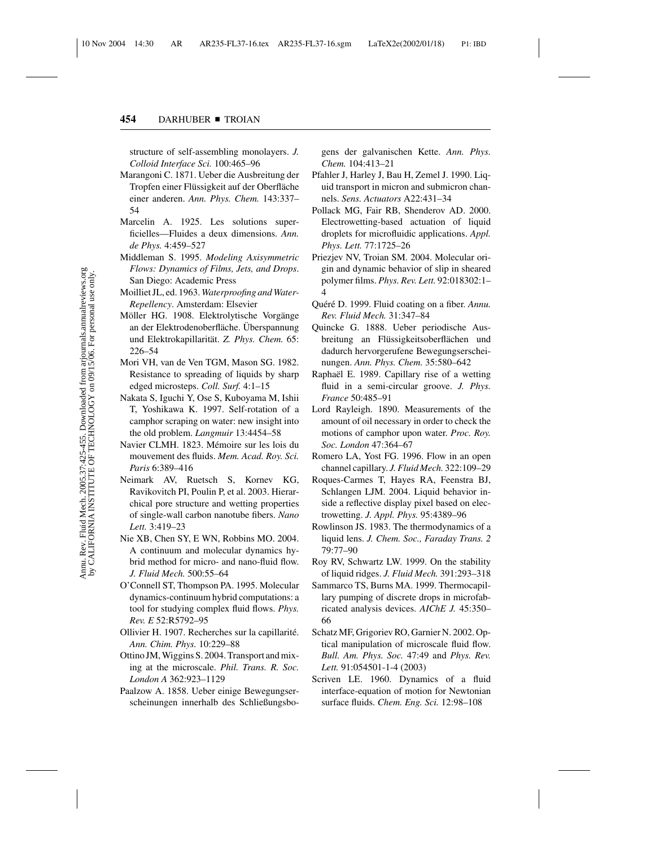structure of self-assembling monolayers. *J. Colloid Interface Sci.* 100:465–96

- Marangoni C. 1871. Ueber die Ausbreitung der Tropfen einer Flüssigkeit auf der Oberfläche einer anderen. *Ann. Phys. Chem.* 143:337– 54
- Marcelin A. 1925. Les solutions superficielles—Fluides a deux dimensions. *Ann. de Phys.* 4:459–527
- Middleman S. 1995. *Modeling Axisymmetric Flows: Dynamics of Films, Jets, and Drops*. San Diego: Academic Press
- Moilliet JL, ed. 1963. *Waterproofing and Water-Repellency*. Amsterdam: Elsevier
- Möller HG. 1908. Elektrolytische Vorgänge an der Elektrodenoberfläche. Überspannung und Elektrokapillarität. *Z. Phys. Chem.* 65: 226–54
- Mori VH, van de Ven TGM, Mason SG. 1982. Resistance to spreading of liquids by sharp edged microsteps. *Coll. Surf.* 4:1–15
- Nakata S, Iguchi Y, Ose S, Kuboyama M, Ishii T, Yoshikawa K. 1997. Self-rotation of a camphor scraping on water: new insight into the old problem. *Langmuir* 13:4454–58
- Navier CLMH. 1823. Mémoire sur les lois du mouvement des fluids. *Mem. Acad. Roy. Sci. Paris* 6:389–416
- Neimark AV, Ruetsch S, Kornev KG, Ravikovitch PI, Poulin P, et al. 2003. Hierarchical pore structure and wetting properties of single-wall carbon nanotube fibers. *Nano Lett.* 3:419–23
- Nie XB, Chen SY, E WN, Robbins MO. 2004. A continuum and molecular dynamics hybrid method for micro- and nano-fluid flow. *J. Fluid Mech.* 500:55–64
- O'Connell ST, Thompson PA. 1995. Molecular dynamics-continuum hybrid computations: a tool for studying complex fluid flows. *Phys. Rev. E* 52:R5792–95
- Ollivier H. 1907. Recherches sur la capillarit´e. *Ann. Chim. Phys.* 10:229–88
- Ottino JM, Wiggins S. 2004. Transport and mixing at the microscale. *Phil. Trans. R. Soc. London A* 362:923–1129
- Paalzow A. 1858. Ueber einige Bewegungserscheinungen innerhalb des Schließungsbo-

gens der galvanischen Kette. *Ann. Phys. Chem.* 104:413–21

- Pfahler J, Harley J, Bau H, Zemel J. 1990. Liquid transport in micron and submicron channels. *Sens. Actuators* A22:431–34
- Pollack MG, Fair RB, Shenderov AD. 2000. Electrowetting-based actuation of liquid droplets for microfluidic applications. *Appl. Phys. Lett.* 77:1725–26
- Priezjev NV, Troian SM. 2004. Molecular origin and dynamic behavior of slip in sheared polymer films. *Phys. Rev. Lett.* 92:018302:1– 4
- Quéré D. 1999. Fluid coating on a fiber. *Annu*. *Rev. Fluid Mech.* 31:347–84
- Quincke G. 1888. Ueber periodische Ausbreitung an Flüssigkeitsoberflächen und dadurch hervorgerufene Bewegungserscheinungen. *Ann. Phys. Chem.* 35:580–642
- Raphaël E. 1989. Capillary rise of a wetting fluid in a semi-circular groove. *J. Phys. France* 50:485–91
- Lord Rayleigh. 1890. Measurements of the amount of oil necessary in order to check the motions of camphor upon water. *Proc. Roy. Soc. London* 47:364–67
- Romero LA, Yost FG. 1996. Flow in an open channel capillary. *J. Fluid Mech.* 322:109–29
- Roques-Carmes T, Hayes RA, Feenstra BJ, Schlangen LJM. 2004. Liquid behavior inside a reflective display pixel based on electrowetting. *J. Appl. Phys.* 95:4389–96
- Rowlinson JS. 1983. The thermodynamics of a liquid lens. *J. Chem. Soc., Faraday Trans. 2* 79:77–90
- Roy RV, Schwartz LW. 1999. On the stability of liquid ridges. *J. Fluid Mech.* 391:293–318
- Sammarco TS, Burns MA. 1999. Thermocapillary pumping of discrete drops in microfabricated analysis devices. *AIChE J.* 45:350– 66
- Schatz MF, Grigoriev RO, Garnier N. 2002. Optical manipulation of microscale fluid flow. *Bull. Am. Phys. Soc.* 47:49 and *Phys. Rev. Lett.* 91:054501-1-4 (2003)
- Scriven LE. 1960. Dynamics of a fluid interface-equation of motion for Newtonian surface fluids. *Chem. Eng. Sci.* 12:98–108